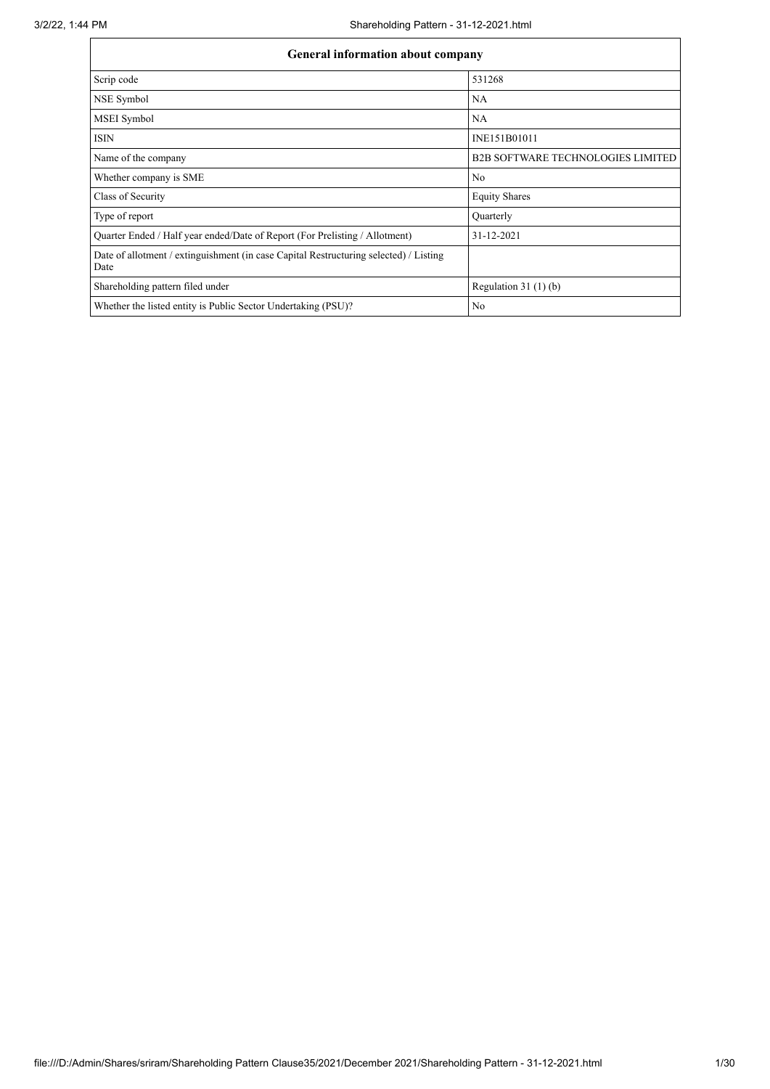| <b>General information about company</b>                                                      |                                          |  |  |  |  |  |  |
|-----------------------------------------------------------------------------------------------|------------------------------------------|--|--|--|--|--|--|
| Scrip code                                                                                    | 531268                                   |  |  |  |  |  |  |
| NSE Symbol                                                                                    | <b>NA</b>                                |  |  |  |  |  |  |
| MSEI Symbol                                                                                   | NA                                       |  |  |  |  |  |  |
| <b>ISIN</b>                                                                                   | INE151B01011                             |  |  |  |  |  |  |
| Name of the company                                                                           | <b>B2B SOFTWARE TECHNOLOGIES LIMITED</b> |  |  |  |  |  |  |
| Whether company is SME                                                                        | No                                       |  |  |  |  |  |  |
| Class of Security                                                                             | <b>Equity Shares</b>                     |  |  |  |  |  |  |
| Type of report                                                                                | Quarterly                                |  |  |  |  |  |  |
| Quarter Ended / Half year ended/Date of Report (For Prelisting / Allotment)                   | 31-12-2021                               |  |  |  |  |  |  |
| Date of allotment / extinguishment (in case Capital Restructuring selected) / Listing<br>Date |                                          |  |  |  |  |  |  |
| Shareholding pattern filed under                                                              | Regulation $31(1)(b)$                    |  |  |  |  |  |  |
| Whether the listed entity is Public Sector Undertaking (PSU)?                                 | No                                       |  |  |  |  |  |  |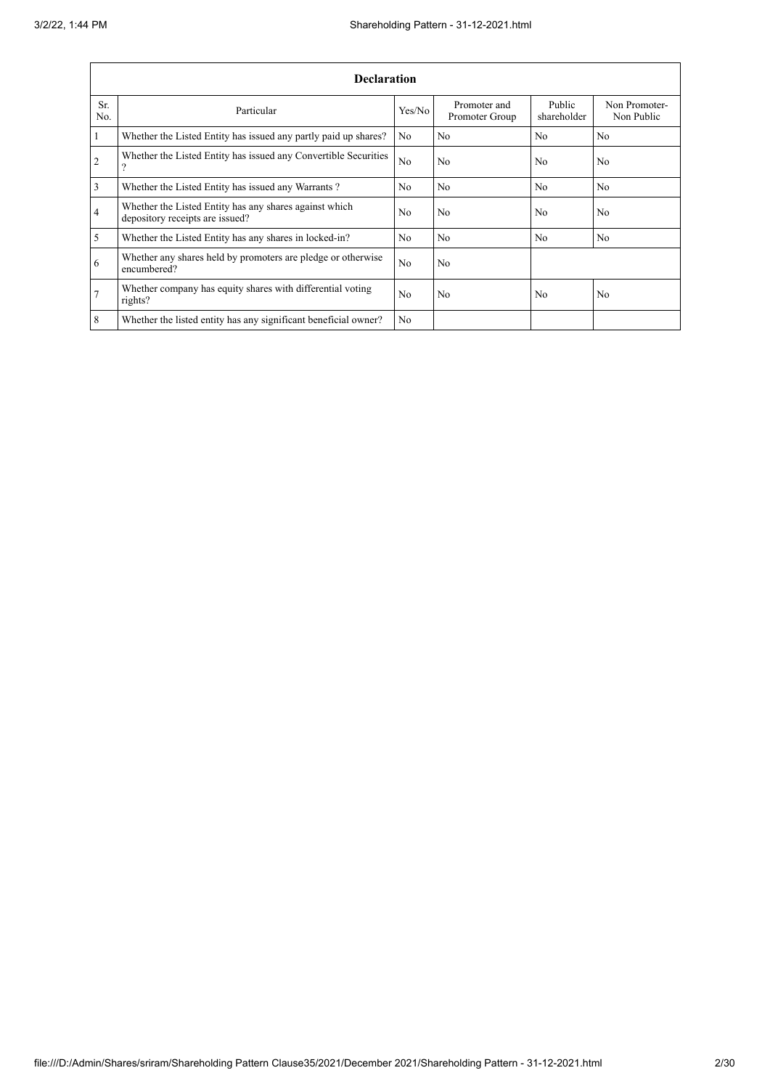|                 | <b>Declaration</b>                                                                        |                |                                |                       |                             |  |  |  |
|-----------------|-------------------------------------------------------------------------------------------|----------------|--------------------------------|-----------------------|-----------------------------|--|--|--|
| Sr.<br>No.      | Particular                                                                                | Yes/No         | Promoter and<br>Promoter Group | Public<br>shareholder | Non Promoter-<br>Non Public |  |  |  |
| $\mathbf{1}$    | Whether the Listed Entity has issued any partly paid up shares?                           | No             | N <sub>o</sub>                 | N <sub>o</sub>        | N <sub>o</sub>              |  |  |  |
| $\overline{2}$  | Whether the Listed Entity has issued any Convertible Securities<br>$\mathcal{P}$          | N <sub>o</sub> | No                             | N <sub>o</sub>        | N <sub>o</sub>              |  |  |  |
| 3               | Whether the Listed Entity has issued any Warrants?                                        | N <sub>0</sub> | N <sub>o</sub>                 | N <sub>o</sub>        | No.                         |  |  |  |
| $\overline{4}$  | Whether the Listed Entity has any shares against which<br>depository receipts are issued? | N <sub>0</sub> | No                             | N <sub>0</sub>        | No                          |  |  |  |
| 5               | Whether the Listed Entity has any shares in locked-in?                                    | N <sub>o</sub> | No                             | N <sub>o</sub>        | N <sub>o</sub>              |  |  |  |
| 6               | Whether any shares held by promoters are pledge or otherwise<br>encumbered?               | N <sub>o</sub> | No                             |                       |                             |  |  |  |
| $7\phantom{.0}$ | Whether company has equity shares with differential voting<br>rights?                     | N <sub>0</sub> | No                             | N <sub>0</sub>        | N <sub>o</sub>              |  |  |  |
| 8               | Whether the listed entity has any significant beneficial owner?                           | N <sub>0</sub> |                                |                       |                             |  |  |  |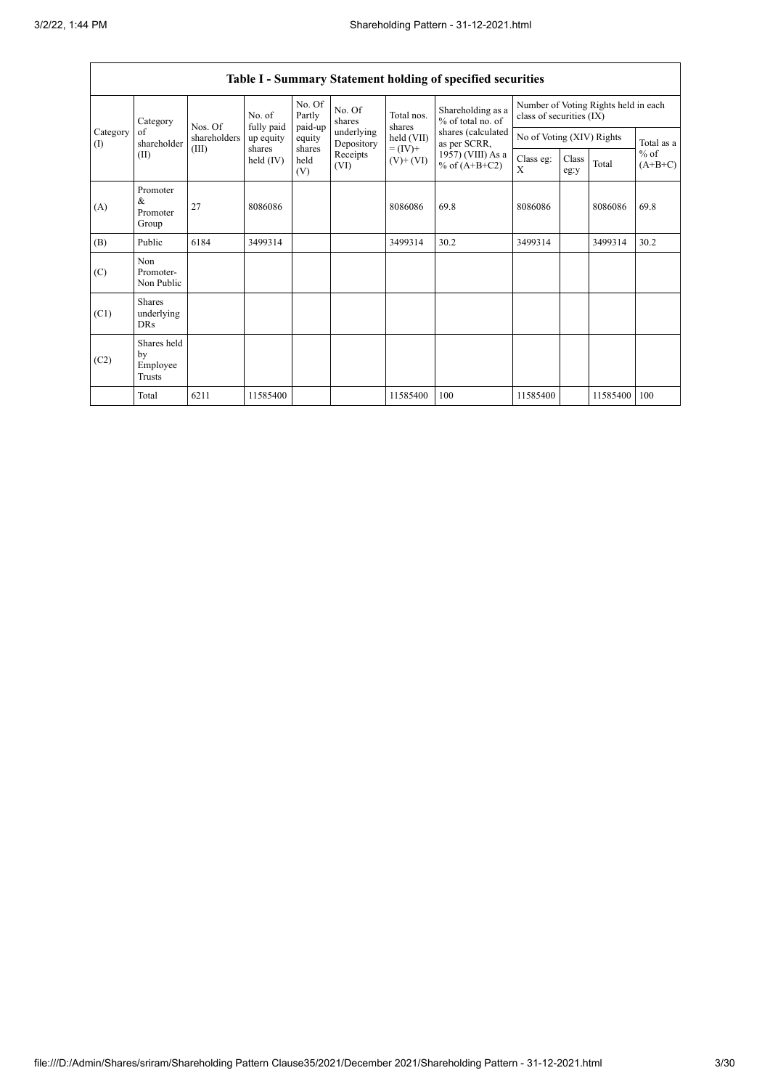$\overline{\phantom{a}}$ 

|                                                          |                                           |                       |                         |                   |                              |                                      | Table I - Summary Statement holding of specified securities |                                                                  |                           |                                   |      |
|----------------------------------------------------------|-------------------------------------------|-----------------------|-------------------------|-------------------|------------------------------|--------------------------------------|-------------------------------------------------------------|------------------------------------------------------------------|---------------------------|-----------------------------------|------|
| Category<br>Category<br>of<br>shareholder<br>(1)<br>(II) |                                           | Nos. Of               | No. of                  | No. Of<br>Partly  | No. Of<br>shares             | Total nos.<br>shares                 | Shareholding as a<br>% of total no. of                      | Number of Voting Rights held in each<br>class of securities (IX) |                           |                                   |      |
|                                                          |                                           | shareholders          | fully paid<br>up equity | paid-up<br>equity | underlying<br>Depository     | held (VII)                           | shares (calculated<br>as per SCRR,                          |                                                                  | No of Voting (XIV) Rights |                                   |      |
|                                                          | (III)                                     | shares<br>held $(IV)$ | shares<br>held<br>(V)   | Receipts<br>(VI)  | $= (IV) +$<br>$(V)$ + $(VI)$ | 1957) (VIII) As a<br>% of $(A+B+C2)$ | Class eg:<br>X                                              | Class<br>eg:y                                                    | Total                     | Total as a<br>$%$ of<br>$(A+B+C)$ |      |
| (A)                                                      | Promoter<br>&<br>Promoter<br>Group        | 27                    | 8086086                 |                   |                              | 8086086                              | 69.8                                                        | 8086086                                                          |                           | 8086086                           | 69.8 |
| (B)                                                      | Public                                    | 6184                  | 3499314                 |                   |                              | 3499314                              | 30.2                                                        | 3499314                                                          |                           | 3499314                           | 30.2 |
| (C)                                                      | Non<br>Promoter-<br>Non Public            |                       |                         |                   |                              |                                      |                                                             |                                                                  |                           |                                   |      |
| (C1)                                                     | <b>Shares</b><br>underlying<br><b>DRs</b> |                       |                         |                   |                              |                                      |                                                             |                                                                  |                           |                                   |      |
| (C2)                                                     | Shares held<br>by<br>Employee<br>Trusts   |                       |                         |                   |                              |                                      |                                                             |                                                                  |                           |                                   |      |
|                                                          | Total                                     | 6211                  | 11585400                |                   |                              | 11585400                             | 100                                                         | 11585400                                                         |                           | 11585400                          | 100  |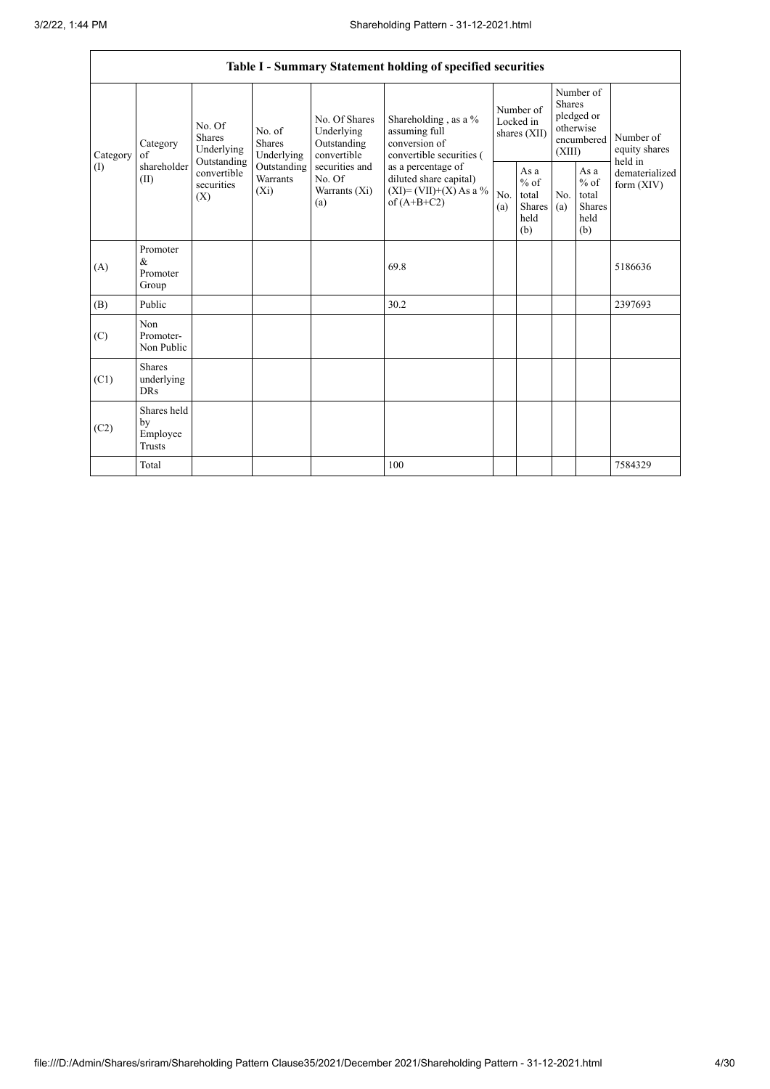|                          | Table I - Summary Statement holding of specified securities |                                                                                                                                                                                |                                                  |                                                                                            |                                                                                    |                                                             |                       |                                                                               |                                |                                       |
|--------------------------|-------------------------------------------------------------|--------------------------------------------------------------------------------------------------------------------------------------------------------------------------------|--------------------------------------------------|--------------------------------------------------------------------------------------------|------------------------------------------------------------------------------------|-------------------------------------------------------------|-----------------------|-------------------------------------------------------------------------------|--------------------------------|---------------------------------------|
| Category<br>$($ $\Gamma$ | Category<br>of<br>shareholder<br>(II)                       | No. Of<br>No. of<br><b>Shares</b><br><b>Shares</b><br>Underlying<br>Underlying<br>Outstanding<br>Outstanding<br>convertible<br><b>Warrants</b><br>securities<br>$(X_i)$<br>(X) |                                                  | No. Of Shares<br>Underlying<br>Outstanding<br>convertible                                  | Shareholding, as a %<br>assuming full<br>conversion of<br>convertible securities ( | Number of<br>Locked in<br>shares (XII)                      |                       | Number of<br><b>Shares</b><br>pledged or<br>otherwise<br>encumbered<br>(XIII) |                                | Number of<br>equity shares<br>held in |
|                          |                                                             |                                                                                                                                                                                | securities and<br>No. Of<br>Warrants (Xi)<br>(a) | as a percentage of<br>diluted share capital)<br>$(XI) = (VII)+(X) As a %$<br>of $(A+B+C2)$ | No.<br>(a)                                                                         | As $\mathbf{a}$<br>$%$ of<br>total<br>Shares<br>held<br>(b) | N <sub>0</sub><br>(a) | As a<br>$%$ of<br>total<br><b>Shares</b><br>held<br>(b)                       | dematerialized<br>form $(XIV)$ |                                       |
| (A)                      | Promoter<br>$\&$<br>Promoter<br>Group                       |                                                                                                                                                                                |                                                  |                                                                                            | 69.8                                                                               |                                                             |                       |                                                                               |                                | 5186636                               |
| (B)                      | Public                                                      |                                                                                                                                                                                |                                                  |                                                                                            | 30.2                                                                               |                                                             |                       |                                                                               |                                | 2397693                               |
| (C)                      | Non<br>Promoter-<br>Non Public                              |                                                                                                                                                                                |                                                  |                                                                                            |                                                                                    |                                                             |                       |                                                                               |                                |                                       |
| (C1)                     | <b>Shares</b><br>underlying<br><b>DRs</b>                   |                                                                                                                                                                                |                                                  |                                                                                            |                                                                                    |                                                             |                       |                                                                               |                                |                                       |
| (C2)                     | Shares held<br>by<br>Employee<br><b>Trusts</b>              |                                                                                                                                                                                |                                                  |                                                                                            |                                                                                    |                                                             |                       |                                                                               |                                |                                       |
|                          | Total                                                       |                                                                                                                                                                                |                                                  |                                                                                            | 100                                                                                |                                                             |                       |                                                                               |                                | 7584329                               |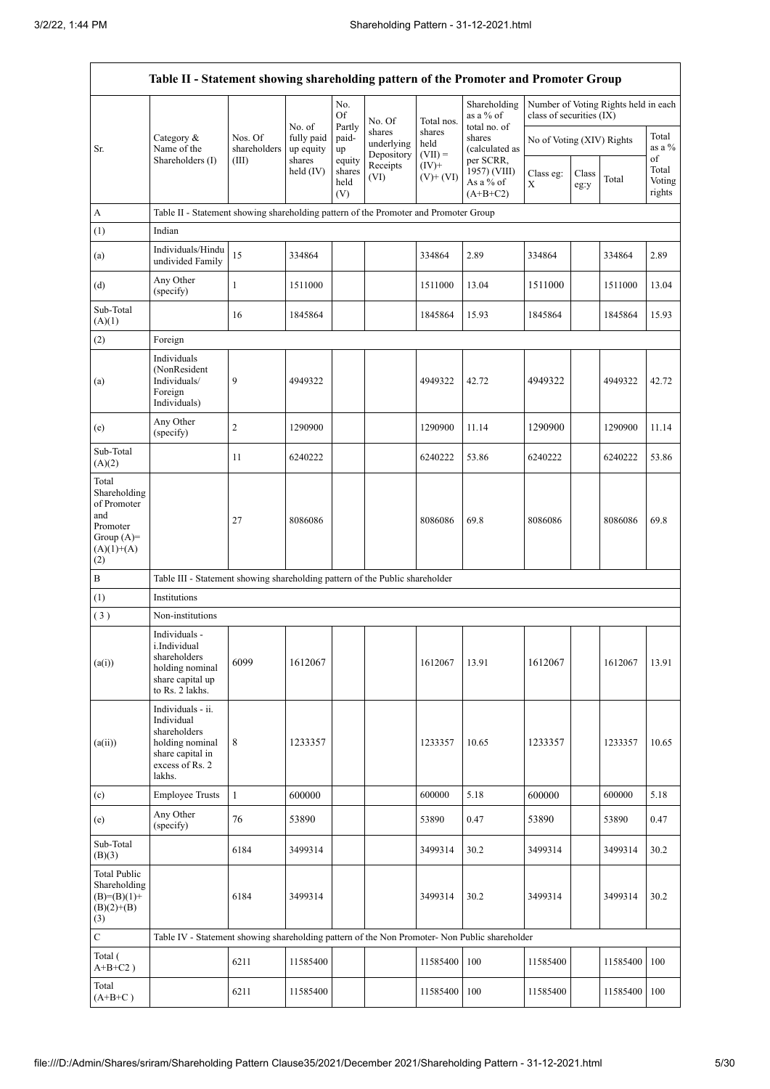$\mathsf{r}$ 

|                                                                                                | Table II - Statement showing shareholding pattern of the Promoter and Promoter Group                                |                                  |                         |                                 |                                    |                             |                                                                                                                               |                                                                  |               |          |                           |
|------------------------------------------------------------------------------------------------|---------------------------------------------------------------------------------------------------------------------|----------------------------------|-------------------------|---------------------------------|------------------------------------|-----------------------------|-------------------------------------------------------------------------------------------------------------------------------|------------------------------------------------------------------|---------------|----------|---------------------------|
|                                                                                                |                                                                                                                     |                                  | No. of                  | No.<br>Of                       | No. Of                             | Total nos.                  | Shareholding<br>as a % of<br>total no. of<br>shares<br>(calculated as<br>per SCRR,<br>1957) (VIII)<br>As a % of<br>$(A+B+C2)$ | Number of Voting Rights held in each<br>class of securities (IX) |               |          |                           |
| Sr.                                                                                            | Category &<br>Name of the                                                                                           | Nos. Of<br>shareholders<br>(III) | fully paid<br>up equity | Partly<br>paid-<br>up           | shares<br>underlying<br>Depository | shares<br>held<br>$(VII) =$ |                                                                                                                               | No of Voting (XIV) Rights                                        |               |          | Total<br>as a %<br>of     |
|                                                                                                | Shareholders (I)                                                                                                    |                                  | shares<br>held $(IV)$   | equity<br>shares<br>held<br>(V) | Receipts<br>(VI)                   | $(IV)^+$<br>$(V)$ + $(VI)$  |                                                                                                                               | Class eg:<br>X                                                   | Class<br>eg:y | Total    | Total<br>Voting<br>rights |
| A                                                                                              | Table II - Statement showing shareholding pattern of the Promoter and Promoter Group                                |                                  |                         |                                 |                                    |                             |                                                                                                                               |                                                                  |               |          |                           |
| (1)                                                                                            | Indian                                                                                                              |                                  |                         |                                 |                                    |                             |                                                                                                                               |                                                                  |               |          |                           |
| (a)                                                                                            | Individuals/Hindu<br>undivided Family                                                                               | 15                               | 334864                  |                                 |                                    | 334864                      | 2.89                                                                                                                          | 334864                                                           |               | 334864   | 2.89                      |
| (d)                                                                                            | Any Other<br>(specify)                                                                                              | $\mathbf{1}$                     | 1511000                 |                                 |                                    | 1511000                     | 13.04                                                                                                                         | 1511000                                                          |               | 1511000  | 13.04                     |
| Sub-Total<br>(A)(1)                                                                            |                                                                                                                     | 16                               | 1845864                 |                                 |                                    | 1845864                     | 15.93                                                                                                                         | 1845864                                                          |               | 1845864  | 15.93                     |
| (2)                                                                                            | Foreign                                                                                                             |                                  |                         |                                 |                                    |                             |                                                                                                                               |                                                                  |               |          |                           |
| (a)                                                                                            | Individuals<br>(NonResident<br>Individuals/<br>Foreign<br>Individuals)                                              | 9                                | 4949322                 |                                 |                                    | 4949322                     | 42.72                                                                                                                         | 4949322                                                          |               | 4949322  | 42.72                     |
| (e)                                                                                            | Any Other<br>(specify)                                                                                              | $\mathfrak{2}$                   | 1290900                 |                                 |                                    | 1290900                     | 11.14                                                                                                                         | 1290900                                                          |               | 1290900  | 11.14                     |
| Sub-Total<br>(A)(2)                                                                            |                                                                                                                     | 11                               | 6240222                 |                                 |                                    | 6240222                     | 53.86                                                                                                                         | 6240222                                                          |               | 6240222  | 53.86                     |
| Total<br>Shareholding<br>of Promoter<br>and<br>Promoter<br>Group $(A)=$<br>$(A)(1)+(A)$<br>(2) |                                                                                                                     | 27                               | 8086086                 |                                 |                                    | 8086086                     | 69.8                                                                                                                          | 8086086                                                          |               | 8086086  | 69.8                      |
| B                                                                                              | Table III - Statement showing shareholding pattern of the Public shareholder                                        |                                  |                         |                                 |                                    |                             |                                                                                                                               |                                                                  |               |          |                           |
| (1)                                                                                            | Institutions                                                                                                        |                                  |                         |                                 |                                    |                             |                                                                                                                               |                                                                  |               |          |                           |
| (3)                                                                                            | Non-institutions                                                                                                    |                                  |                         |                                 |                                    |                             |                                                                                                                               |                                                                  |               |          |                           |
| (a(i))                                                                                         | Individuals -<br>i.Individual<br>shareholders<br>holding nominal<br>share capital up<br>to Rs. 2 lakhs.             | 6099                             | 1612067                 |                                 |                                    | 1612067                     | 13.91                                                                                                                         | 1612067                                                          |               | 1612067  | 13.91                     |
| (a(ii))                                                                                        | Individuals - ii.<br>Individual<br>shareholders<br>holding nominal<br>share capital in<br>excess of Rs. 2<br>lakhs. | 8                                | 1233357                 |                                 |                                    | 1233357                     | 10.65                                                                                                                         | 1233357                                                          |               | 1233357  | 10.65                     |
| (c)                                                                                            | <b>Employee Trusts</b>                                                                                              | $\mathbf{1}$                     | 600000                  |                                 |                                    | 600000                      | 5.18                                                                                                                          | 600000                                                           |               | 600000   | 5.18                      |
| (e)                                                                                            | Any Other<br>(specify)                                                                                              | 76                               | 53890                   |                                 |                                    | 53890                       | 0.47                                                                                                                          | 53890                                                            |               | 53890    | 0.47                      |
| Sub-Total<br>(B)(3)                                                                            |                                                                                                                     | 6184                             | 3499314                 |                                 |                                    | 3499314                     | 30.2                                                                                                                          | 3499314                                                          |               | 3499314  | 30.2                      |
| <b>Total Public</b><br>Shareholding<br>$(B)=(B)(1)+$<br>$(B)(2)+(B)$<br>(3)                    |                                                                                                                     | 6184                             | 3499314                 |                                 |                                    | 3499314                     | 30.2                                                                                                                          | 3499314                                                          |               | 3499314  | 30.2                      |
| $\mathbf C$                                                                                    | Table IV - Statement showing shareholding pattern of the Non Promoter- Non Public shareholder                       |                                  |                         |                                 |                                    |                             |                                                                                                                               |                                                                  |               |          |                           |
| Total (<br>$A+B+C2$ )                                                                          |                                                                                                                     | 6211                             | 11585400                |                                 |                                    | 11585400                    | 100                                                                                                                           | 11585400                                                         |               | 11585400 | 100                       |
| Total<br>$(A+B+C)$                                                                             |                                                                                                                     | 6211                             | 11585400                |                                 |                                    | 11585400                    | 100                                                                                                                           | 11585400                                                         |               | 11585400 | 100                       |

 $\overline{\phantom{a}}$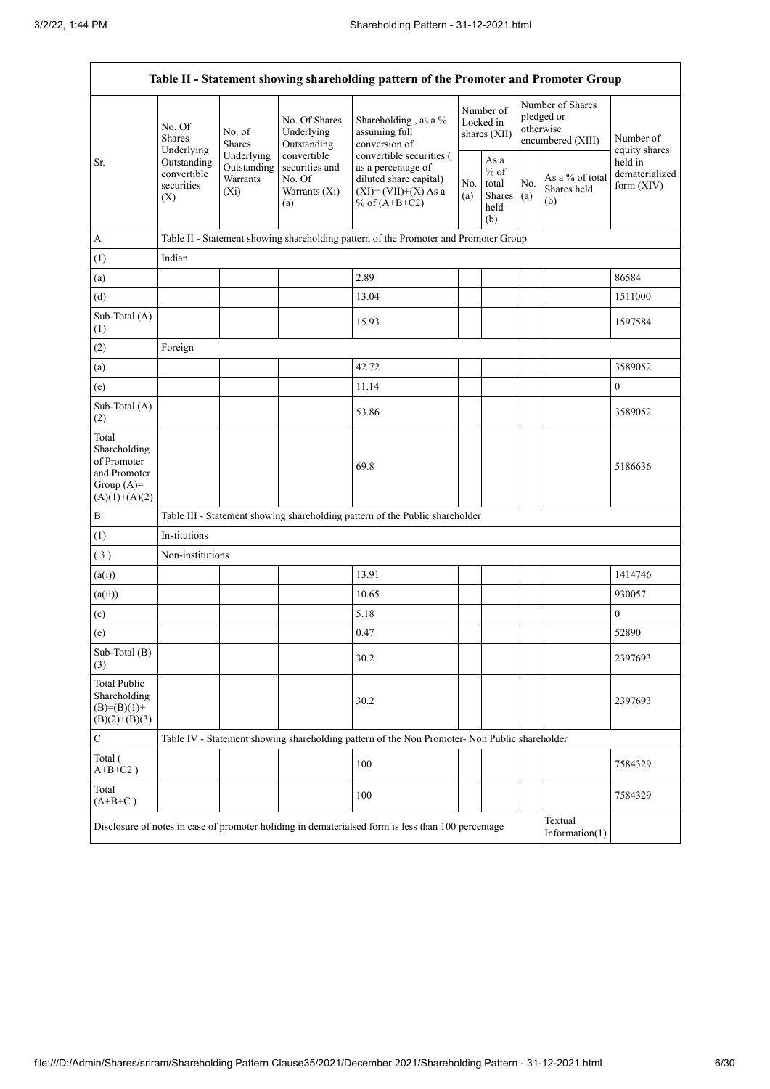| Table II - Statement showing shareholding pattern of the Promoter and Promoter Group    |                                                 |                                                                                      |                                                                 |                                                                                                                        |            |                                                  |            |                                                                  |                                                            |  |  |
|-----------------------------------------------------------------------------------------|-------------------------------------------------|--------------------------------------------------------------------------------------|-----------------------------------------------------------------|------------------------------------------------------------------------------------------------------------------------|------------|--------------------------------------------------|------------|------------------------------------------------------------------|------------------------------------------------------------|--|--|
|                                                                                         | No. Of<br><b>Shares</b><br>Underlying           | No. of<br><b>Shares</b>                                                              | No. Of Shares<br>Underlying<br>Outstanding                      | Shareholding, as a %<br>assuming full<br>conversion of                                                                 |            | Number of<br>Locked in<br>shares (XII)           |            | Number of Shares<br>pledged or<br>otherwise<br>encumbered (XIII) | Number of                                                  |  |  |
| Sr.                                                                                     | Outstanding<br>convertible<br>securities<br>(X) | Underlying<br>Outstanding<br>Warrants<br>$(X_i)$                                     | convertible<br>securities and<br>No. Of<br>Warrants (Xi)<br>(a) | convertible securities (<br>as a percentage of<br>diluted share capital)<br>$(XI) = (VII)+(X) As a$<br>% of $(A+B+C2)$ | No.<br>(a) | As a<br>$%$ of<br>total<br>Shares<br>held<br>(b) | No.<br>(a) | As a % of total<br>Shares held<br>(b)                            | equity shares<br>held in<br>dematerialized<br>form $(XIV)$ |  |  |
| $\mathbf{A}$                                                                            |                                                 | Table II - Statement showing shareholding pattern of the Promoter and Promoter Group |                                                                 |                                                                                                                        |            |                                                  |            |                                                                  |                                                            |  |  |
| (1)                                                                                     | Indian                                          |                                                                                      |                                                                 |                                                                                                                        |            |                                                  |            |                                                                  |                                                            |  |  |
| (a)                                                                                     |                                                 |                                                                                      |                                                                 | 2.89                                                                                                                   |            |                                                  |            |                                                                  | 86584                                                      |  |  |
| (d)                                                                                     |                                                 |                                                                                      |                                                                 | 13.04                                                                                                                  |            |                                                  |            |                                                                  | 1511000                                                    |  |  |
| Sub-Total (A)<br>(1)                                                                    |                                                 |                                                                                      |                                                                 | 15.93                                                                                                                  |            |                                                  |            |                                                                  | 1597584                                                    |  |  |
| (2)                                                                                     | Foreign                                         |                                                                                      |                                                                 |                                                                                                                        |            |                                                  |            |                                                                  |                                                            |  |  |
| (a)                                                                                     |                                                 |                                                                                      |                                                                 | 42.72                                                                                                                  |            |                                                  |            |                                                                  | 3589052                                                    |  |  |
| (e)                                                                                     |                                                 |                                                                                      |                                                                 | 11.14                                                                                                                  |            |                                                  |            |                                                                  | $\boldsymbol{0}$                                           |  |  |
| Sub-Total (A)<br>(2)                                                                    |                                                 |                                                                                      |                                                                 | 53.86                                                                                                                  |            |                                                  |            |                                                                  | 3589052                                                    |  |  |
| Total<br>Shareholding<br>of Promoter<br>and Promoter<br>Group $(A)=$<br>$(A)(1)+(A)(2)$ |                                                 |                                                                                      |                                                                 | 69.8                                                                                                                   |            |                                                  |            |                                                                  | 5186636                                                    |  |  |
| $\, {\bf B}$                                                                            |                                                 |                                                                                      |                                                                 | Table III - Statement showing shareholding pattern of the Public shareholder                                           |            |                                                  |            |                                                                  |                                                            |  |  |
| (1)                                                                                     | Institutions                                    |                                                                                      |                                                                 |                                                                                                                        |            |                                                  |            |                                                                  |                                                            |  |  |
| (3)                                                                                     | Non-institutions                                |                                                                                      |                                                                 |                                                                                                                        |            |                                                  |            |                                                                  |                                                            |  |  |
| (a(i))                                                                                  |                                                 |                                                                                      |                                                                 | 13.91                                                                                                                  |            |                                                  |            |                                                                  | 1414746                                                    |  |  |
| (a(ii))                                                                                 |                                                 |                                                                                      |                                                                 | 10.65                                                                                                                  |            |                                                  |            |                                                                  | 930057                                                     |  |  |
| (c)                                                                                     |                                                 |                                                                                      |                                                                 | 5.18                                                                                                                   |            |                                                  |            |                                                                  | $\boldsymbol{0}$                                           |  |  |
| (e)                                                                                     |                                                 |                                                                                      |                                                                 | 0.47                                                                                                                   |            |                                                  |            |                                                                  | 52890                                                      |  |  |
| Sub-Total (B)<br>(3)                                                                    |                                                 |                                                                                      |                                                                 | 30.2                                                                                                                   |            |                                                  |            |                                                                  | 2397693                                                    |  |  |
| <b>Total Public</b><br>Shareholding<br>$(B)= (B)(1) +$<br>$(B)(2)+(B)(3)$               |                                                 |                                                                                      |                                                                 | 30.2                                                                                                                   |            |                                                  |            |                                                                  | 2397693                                                    |  |  |
| $\mathbf C$                                                                             |                                                 |                                                                                      |                                                                 | Table IV - Statement showing shareholding pattern of the Non Promoter- Non Public shareholder                          |            |                                                  |            |                                                                  |                                                            |  |  |
| Total (<br>$A+B+C2$ )                                                                   |                                                 |                                                                                      |                                                                 | 100                                                                                                                    |            |                                                  |            |                                                                  | 7584329                                                    |  |  |
| Total<br>$(A+B+C)$                                                                      |                                                 |                                                                                      |                                                                 | 100                                                                                                                    |            |                                                  |            |                                                                  | 7584329                                                    |  |  |
|                                                                                         |                                                 |                                                                                      |                                                                 | Disclosure of notes in case of promoter holiding in dematerialsed form is less than 100 percentage                     |            |                                                  |            | Textual<br>Information(1)                                        |                                                            |  |  |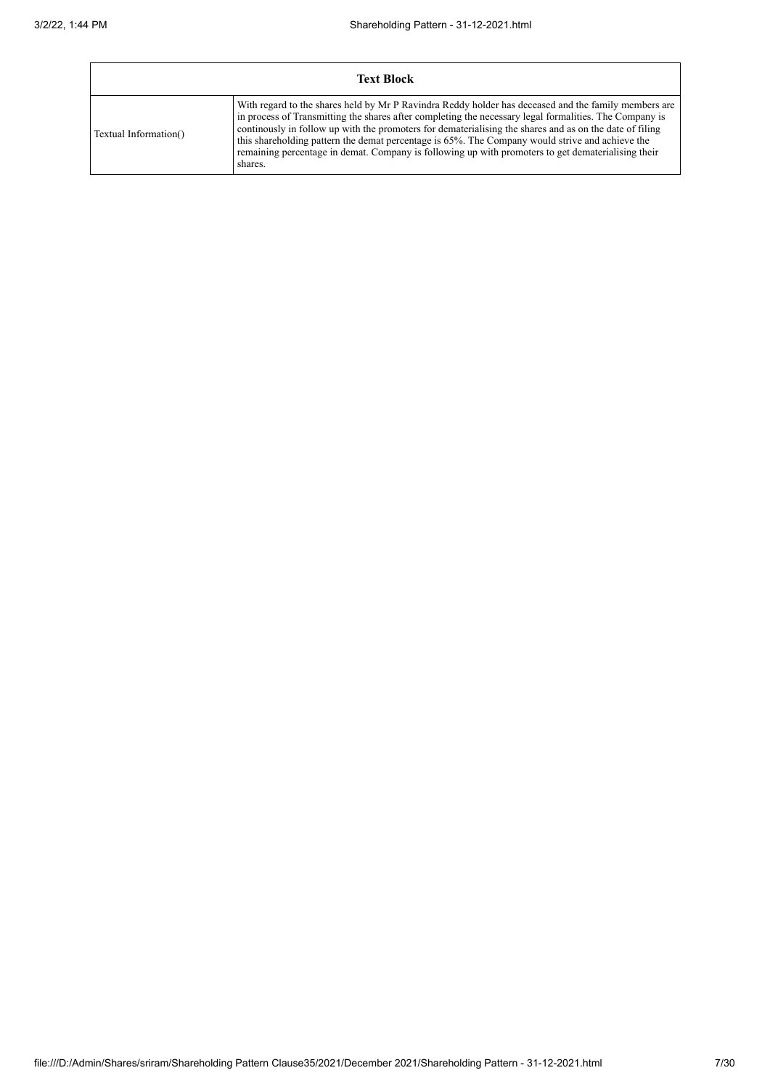| <b>Text Block</b>     |                                                                                                                                                                                                                                                                                                                                                                                                                                                                                                                                                |  |  |  |  |  |  |
|-----------------------|------------------------------------------------------------------------------------------------------------------------------------------------------------------------------------------------------------------------------------------------------------------------------------------------------------------------------------------------------------------------------------------------------------------------------------------------------------------------------------------------------------------------------------------------|--|--|--|--|--|--|
| Textual Information() | With regard to the shares held by Mr P Ravindra Reddy holder has deceased and the family members are<br>in process of Transmitting the shares after completing the necessary legal formalities. The Company is<br>continuously in follow up with the promoters for dematerialising the shares and as on the date of filing<br>this shareholding pattern the demat percentage is 65%. The Company would strive and achieve the<br>remaining percentage in demat. Company is following up with promoters to get dematerialising their<br>shares. |  |  |  |  |  |  |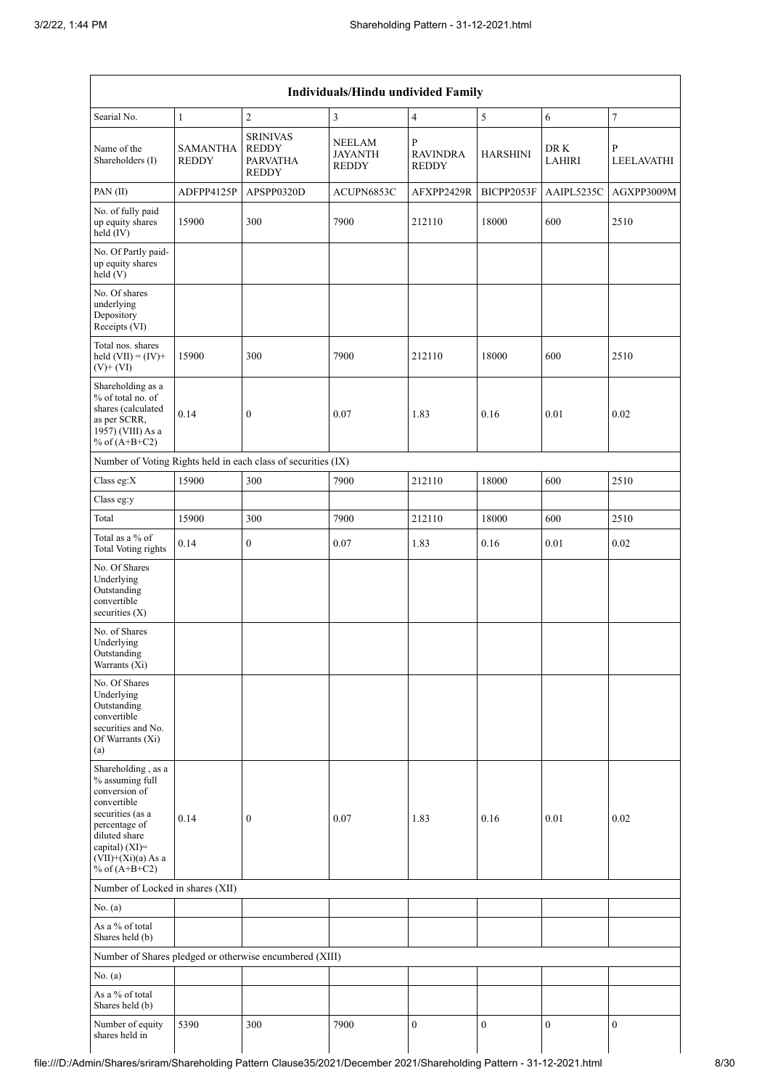|                                                                                                                                                                                          | Individuals/Hindu undivided Family |                                                                    |                                   |                                                 |                  |                       |                  |
|------------------------------------------------------------------------------------------------------------------------------------------------------------------------------------------|------------------------------------|--------------------------------------------------------------------|-----------------------------------|-------------------------------------------------|------------------|-----------------------|------------------|
| Searial No.                                                                                                                                                                              | $\mathbf{1}$                       | $\mathfrak{2}$                                                     | 3                                 | $\overline{4}$                                  | 5                | 6                     | $\sqrt{ }$       |
| Name of the<br>Shareholders (I)                                                                                                                                                          | SAMANTHA<br><b>REDDY</b>           | <b>SRINIVAS</b><br><b>REDDY</b><br><b>PARVATHA</b><br><b>REDDY</b> | NEELAM<br>JAYANTH<br><b>REDDY</b> | $\mathbf{P}$<br><b>RAVINDRA</b><br><b>REDDY</b> | <b>HARSHINI</b>  | DR K<br><b>LAHIRI</b> | P<br>LEELAVATHI  |
| PAN(II)                                                                                                                                                                                  | ADFPP4125P                         | APSPP0320D                                                         | ACUPN6853C                        | AFXPP2429R                                      | BICPP2053F       | AAIPL5235C            | AGXPP3009M       |
| No. of fully paid<br>up equity shares<br>held (IV)                                                                                                                                       | 15900                              | 300                                                                | 7900                              | 212110                                          | 18000            | 600                   | 2510             |
| No. Of Partly paid-<br>up equity shares<br>held(V)                                                                                                                                       |                                    |                                                                    |                                   |                                                 |                  |                       |                  |
| No. Of shares<br>underlying<br>Depository<br>Receipts (VI)                                                                                                                               |                                    |                                                                    |                                   |                                                 |                  |                       |                  |
| Total nos. shares<br>held $(VII) = (IV) +$<br>$(V)+(VI)$                                                                                                                                 | 15900                              | 300                                                                | 7900                              | 212110                                          | 18000            | 600                   | 2510             |
| Shareholding as a<br>% of total no. of<br>shares (calculated<br>as per SCRR,<br>1957) (VIII) As a<br>% of $(A+B+C2)$                                                                     | 0.14                               | $\boldsymbol{0}$                                                   | 0.07                              | 1.83                                            | 0.16             | 0.01                  | 0.02             |
|                                                                                                                                                                                          |                                    | Number of Voting Rights held in each class of securities (IX)      |                                   |                                                 |                  |                       |                  |
| Class eg: $X$                                                                                                                                                                            | 15900                              | 300                                                                | 7900                              | 212110                                          | 18000            | 600                   | 2510             |
| Class eg:y                                                                                                                                                                               |                                    |                                                                    |                                   |                                                 |                  |                       |                  |
| Total                                                                                                                                                                                    | 15900                              | 300                                                                | 7900                              | 212110                                          | 18000            | 600                   | 2510             |
| Total as a % of<br><b>Total Voting rights</b>                                                                                                                                            | 0.14                               | $\boldsymbol{0}$                                                   | 0.07                              | 1.83                                            | 0.16             | 0.01                  | $0.02\,$         |
| No. Of Shares<br>Underlying<br>Outstanding<br>convertible<br>securities $(X)$                                                                                                            |                                    |                                                                    |                                   |                                                 |                  |                       |                  |
| No. of Shares<br>Underlying<br>Outstanding<br>Warrants (Xi)                                                                                                                              |                                    |                                                                    |                                   |                                                 |                  |                       |                  |
| No. Of Shares<br>Underlying<br>Outstanding<br>convertible<br>securities and No.<br>Of Warrants (Xi)<br>(a)                                                                               |                                    |                                                                    |                                   |                                                 |                  |                       |                  |
| Shareholding, as a<br>% assuming full<br>conversion of<br>convertible<br>securities (as a<br>percentage of<br>diluted share<br>capital) (XI)=<br>$(VII)+(Xi)(a)$ As a<br>% of $(A+B+C2)$ | 0.14                               | $\boldsymbol{0}$                                                   | 0.07                              | 1.83                                            | 0.16             | 0.01                  | 0.02             |
| Number of Locked in shares (XII)                                                                                                                                                         |                                    |                                                                    |                                   |                                                 |                  |                       |                  |
| No. $(a)$                                                                                                                                                                                |                                    |                                                                    |                                   |                                                 |                  |                       |                  |
| As a % of total<br>Shares held (b)                                                                                                                                                       |                                    |                                                                    |                                   |                                                 |                  |                       |                  |
|                                                                                                                                                                                          |                                    | Number of Shares pledged or otherwise encumbered (XIII)            |                                   |                                                 |                  |                       |                  |
| No. (a)                                                                                                                                                                                  |                                    |                                                                    |                                   |                                                 |                  |                       |                  |
| As a $\%$ of total<br>Shares held (b)                                                                                                                                                    |                                    |                                                                    |                                   |                                                 |                  |                       |                  |
| Number of equity<br>shares held in                                                                                                                                                       | 5390                               | 300                                                                | 7900                              | $\boldsymbol{0}$                                | $\boldsymbol{0}$ | $\boldsymbol{0}$      | $\boldsymbol{0}$ |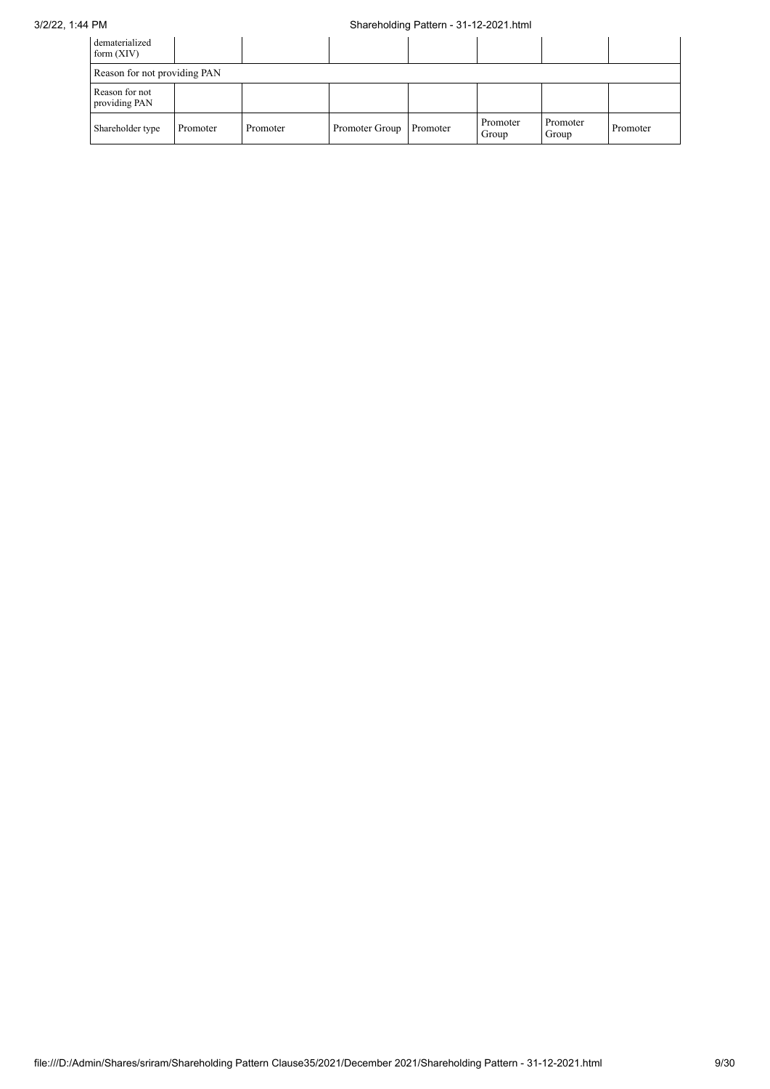## 3/2/22, 1:44 PM Shareholding Pattern - 31-12-2021.html

| dematerialized<br>form $(XIV)$  |          |          |                |          |                   |                   |          |  |
|---------------------------------|----------|----------|----------------|----------|-------------------|-------------------|----------|--|
| Reason for not providing PAN    |          |          |                |          |                   |                   |          |  |
| Reason for not<br>providing PAN |          |          |                |          |                   |                   |          |  |
| Shareholder type                | Promoter | Promoter | Promoter Group | Promoter | Promoter<br>Group | Promoter<br>Group | Promoter |  |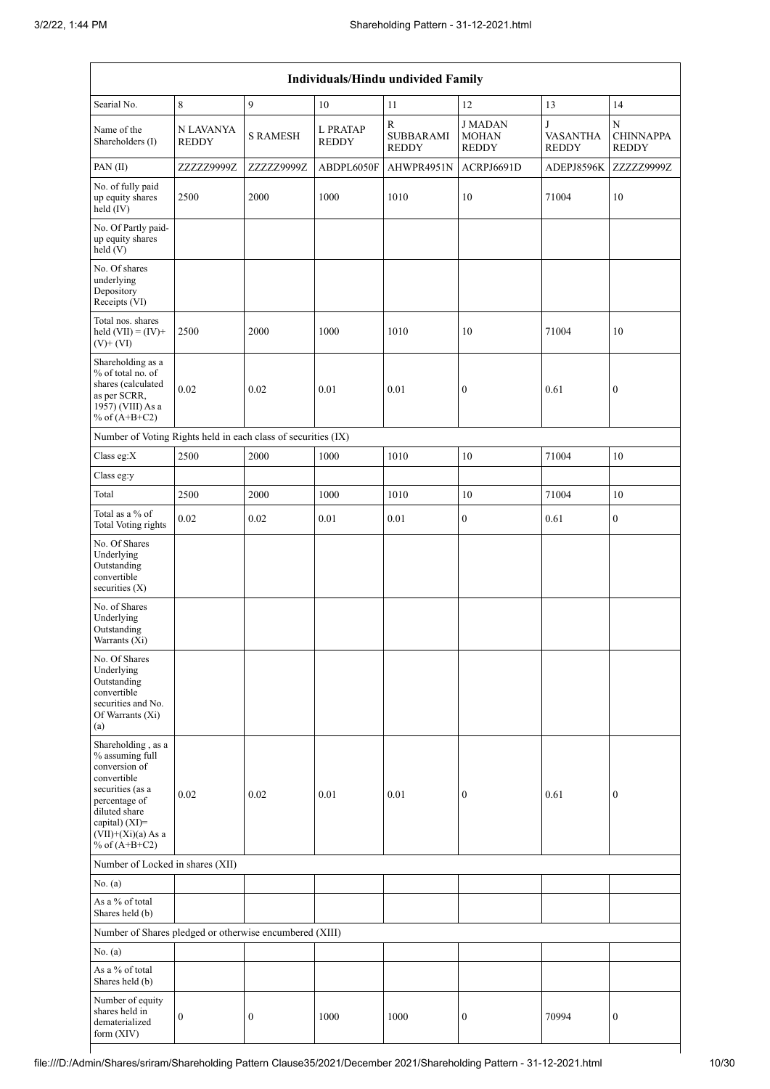| Individuals/Hindu undivided Family                                                                                                                                                       |                           |                  |                          |                                                  |                                               |                                      |                                       |
|------------------------------------------------------------------------------------------------------------------------------------------------------------------------------------------|---------------------------|------------------|--------------------------|--------------------------------------------------|-----------------------------------------------|--------------------------------------|---------------------------------------|
| Searial No.                                                                                                                                                                              | $\,8\,$                   | 9                | 10                       | 11                                               | 12                                            | 13                                   | 14                                    |
| Name of the<br>Shareholders (I)                                                                                                                                                          | N LAVANYA<br><b>REDDY</b> | <b>S RAMESH</b>  | L PRATAP<br><b>REDDY</b> | $\mathbb{R}$<br><b>SUBBARAMI</b><br><b>REDDY</b> | <b>JMADAN</b><br><b>MOHAN</b><br><b>REDDY</b> | J<br><b>VASANTHA</b><br><b>REDDY</b> | N<br><b>CHINNAPPA</b><br><b>REDDY</b> |
| PAN(II)                                                                                                                                                                                  | ZZZZZ9999Z                | ZZZZZ9999Z       | ABDPL6050F               | AHWPR4951N                                       | ACRPJ6691D                                    | ADEPJ8596K                           | ZZZZZ9999Z                            |
| No. of fully paid<br>up equity shares<br>held (IV)                                                                                                                                       | 2500                      | 2000             | 1000                     | 1010                                             | 10                                            | 71004                                | 10                                    |
| No. Of Partly paid-<br>up equity shares<br>$\text{held}(V)$                                                                                                                              |                           |                  |                          |                                                  |                                               |                                      |                                       |
| No. Of shares<br>underlying<br>Depository<br>Receipts (VI)                                                                                                                               |                           |                  |                          |                                                  |                                               |                                      |                                       |
| Total nos. shares<br>held $(VII) = (IV) +$<br>$(V)$ + $(VI)$                                                                                                                             | 2500                      | 2000             | 1000                     | 1010                                             | 10                                            | 71004                                | 10                                    |
| Shareholding as a<br>% of total no. of<br>shares (calculated<br>as per SCRR,<br>1957) (VIII) As a<br>% of $(A+B+C2)$                                                                     | 0.02                      | 0.02             | 0.01                     | 0.01                                             | $\boldsymbol{0}$                              | 0.61                                 | $\boldsymbol{0}$                      |
| Number of Voting Rights held in each class of securities (IX)                                                                                                                            |                           |                  |                          |                                                  |                                               |                                      |                                       |
| Class eg:X                                                                                                                                                                               | 2500                      | 2000             | 1000                     | 1010                                             | 10                                            | 71004                                | 10                                    |
| Class eg:y                                                                                                                                                                               |                           |                  |                          |                                                  |                                               |                                      |                                       |
| Total                                                                                                                                                                                    | 2500                      | 2000             | 1000                     | 1010                                             | 10                                            | 71004                                | 10                                    |
| Total as a % of<br><b>Total Voting rights</b>                                                                                                                                            | 0.02                      | 0.02             | 0.01                     | 0.01                                             | $\boldsymbol{0}$                              | 0.61                                 | $\boldsymbol{0}$                      |
| No. Of Shares<br>Underlying<br>Outstanding<br>convertible<br>securities (X)                                                                                                              |                           |                  |                          |                                                  |                                               |                                      |                                       |
| No. of Shares<br>Underlying<br>Outstanding<br>Warrants (Xi)                                                                                                                              |                           |                  |                          |                                                  |                                               |                                      |                                       |
| No. Of Shares<br>Underlying<br>Outstanding<br>convertible<br>securities and No.<br>Of Warrants (Xi)<br>(a)                                                                               |                           |                  |                          |                                                  |                                               |                                      |                                       |
| Shareholding, as a<br>% assuming full<br>conversion of<br>convertible<br>securities (as a<br>percentage of<br>diluted share<br>capital) (XI)=<br>$(VII)+(Xi)(a)$ As a<br>% of $(A+B+C2)$ | 0.02                      | 0.02             | 0.01                     | 0.01                                             | $\boldsymbol{0}$                              | 0.61                                 | $\boldsymbol{0}$                      |
| Number of Locked in shares (XII)                                                                                                                                                         |                           |                  |                          |                                                  |                                               |                                      |                                       |
| No. (a)                                                                                                                                                                                  |                           |                  |                          |                                                  |                                               |                                      |                                       |
| As a % of total<br>Shares held (b)                                                                                                                                                       |                           |                  |                          |                                                  |                                               |                                      |                                       |
| Number of Shares pledged or otherwise encumbered (XIII)                                                                                                                                  |                           |                  |                          |                                                  |                                               |                                      |                                       |
| No. (a)                                                                                                                                                                                  |                           |                  |                          |                                                  |                                               |                                      |                                       |
| As a % of total<br>Shares held (b)                                                                                                                                                       |                           |                  |                          |                                                  |                                               |                                      |                                       |
| Number of equity<br>shares held in<br>dematerialized<br>form (XIV)                                                                                                                       | $\boldsymbol{0}$          | $\boldsymbol{0}$ | 1000                     | 1000                                             | $\boldsymbol{0}$                              | 70994                                | $\boldsymbol{0}$                      |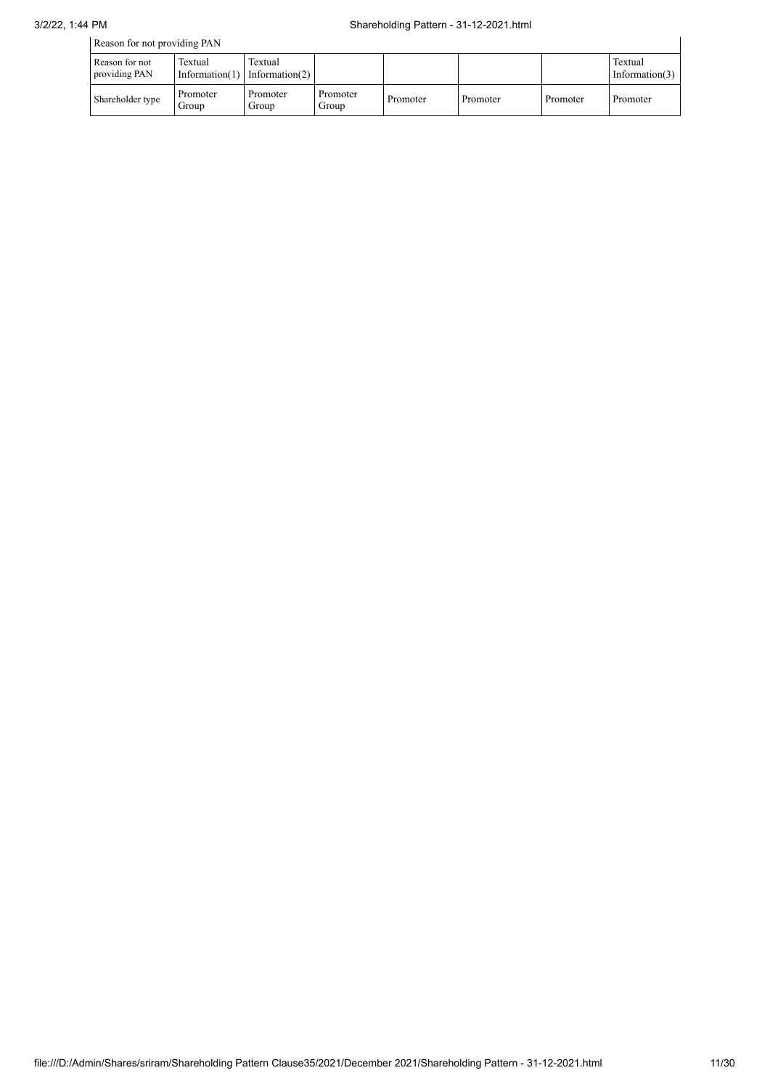| Reason for not providing PAN    |                   |                                          |                   |          |          |          |                              |  |
|---------------------------------|-------------------|------------------------------------------|-------------------|----------|----------|----------|------------------------------|--|
| Reason for not<br>providing PAN | Textual           | Textual<br>Information(1) Information(2) |                   |          |          |          | Textual<br>Information $(3)$ |  |
| Shareholder type                | Promoter<br>Group | Promoter<br>Group                        | Promoter<br>Group | Promoter | Promoter | Promoter | Promoter                     |  |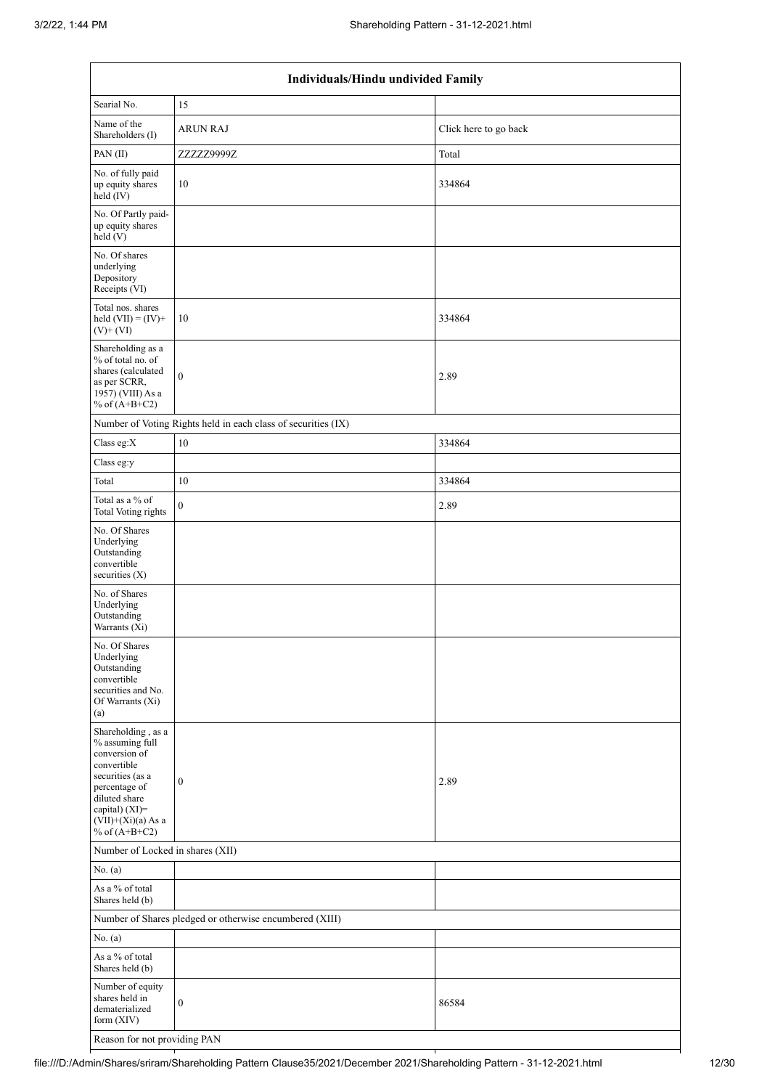| Individuals/Hindu undivided Family                                                                                                                                                       |                                                               |                       |  |  |  |  |  |  |
|------------------------------------------------------------------------------------------------------------------------------------------------------------------------------------------|---------------------------------------------------------------|-----------------------|--|--|--|--|--|--|
| Searial No.                                                                                                                                                                              | 15                                                            |                       |  |  |  |  |  |  |
| Name of the<br>Shareholders (I)                                                                                                                                                          | <b>ARUN RAJ</b>                                               | Click here to go back |  |  |  |  |  |  |
| PAN(II)                                                                                                                                                                                  | ZZZZZ9999Z                                                    | Total                 |  |  |  |  |  |  |
| No. of fully paid<br>up equity shares<br>$held$ (IV)                                                                                                                                     | 10                                                            | 334864                |  |  |  |  |  |  |
| No. Of Partly paid-<br>up equity shares<br>held (V)                                                                                                                                      |                                                               |                       |  |  |  |  |  |  |
| No. Of shares<br>underlying<br>Depository<br>Receipts (VI)                                                                                                                               |                                                               |                       |  |  |  |  |  |  |
| Total nos. shares<br>held $(VII) = (IV) +$<br>$(V)$ + $(VI)$                                                                                                                             | 10                                                            | 334864                |  |  |  |  |  |  |
| Shareholding as a<br>% of total no. of<br>shares (calculated<br>as per SCRR,<br>1957) (VIII) As a<br>% of $(A+B+C2)$                                                                     | $\boldsymbol{0}$                                              | 2.89                  |  |  |  |  |  |  |
|                                                                                                                                                                                          | Number of Voting Rights held in each class of securities (IX) |                       |  |  |  |  |  |  |
| Class eg:X                                                                                                                                                                               | 10                                                            | 334864                |  |  |  |  |  |  |
| Class eg:y                                                                                                                                                                               |                                                               |                       |  |  |  |  |  |  |
| Total                                                                                                                                                                                    | 10                                                            | 334864                |  |  |  |  |  |  |
| Total as a % of<br><b>Total Voting rights</b>                                                                                                                                            | $\boldsymbol{0}$                                              | 2.89                  |  |  |  |  |  |  |
| No. Of Shares<br>Underlying<br>Outstanding<br>convertible<br>securities $(X)$                                                                                                            |                                                               |                       |  |  |  |  |  |  |
| No. of Shares<br>Underlying<br>Outstanding<br>Warrants (Xi)                                                                                                                              |                                                               |                       |  |  |  |  |  |  |
| No. Of Shares<br>Underlying<br>Outstanding<br>convertible<br>securities and No.<br>Of Warrants (Xi)<br>(a)                                                                               |                                                               |                       |  |  |  |  |  |  |
| Shareholding, as a<br>% assuming full<br>conversion of<br>convertible<br>securities (as a<br>percentage of<br>diluted share<br>capital) (XI)=<br>$(VII)+(Xi)(a)$ As a<br>% of $(A+B+C2)$ | $\boldsymbol{0}$                                              | 2.89                  |  |  |  |  |  |  |
| Number of Locked in shares (XII)                                                                                                                                                         |                                                               |                       |  |  |  |  |  |  |
| No. (a)                                                                                                                                                                                  |                                                               |                       |  |  |  |  |  |  |
| As a % of total<br>Shares held (b)                                                                                                                                                       |                                                               |                       |  |  |  |  |  |  |
|                                                                                                                                                                                          | Number of Shares pledged or otherwise encumbered (XIII)       |                       |  |  |  |  |  |  |
| No. (a)                                                                                                                                                                                  |                                                               |                       |  |  |  |  |  |  |
| As a % of total<br>Shares held (b)                                                                                                                                                       |                                                               |                       |  |  |  |  |  |  |
| Number of equity<br>shares held in<br>dematerialized<br>form $(XIV)$                                                                                                                     | $\boldsymbol{0}$                                              | 86584                 |  |  |  |  |  |  |
| Reason for not providing PAN                                                                                                                                                             |                                                               |                       |  |  |  |  |  |  |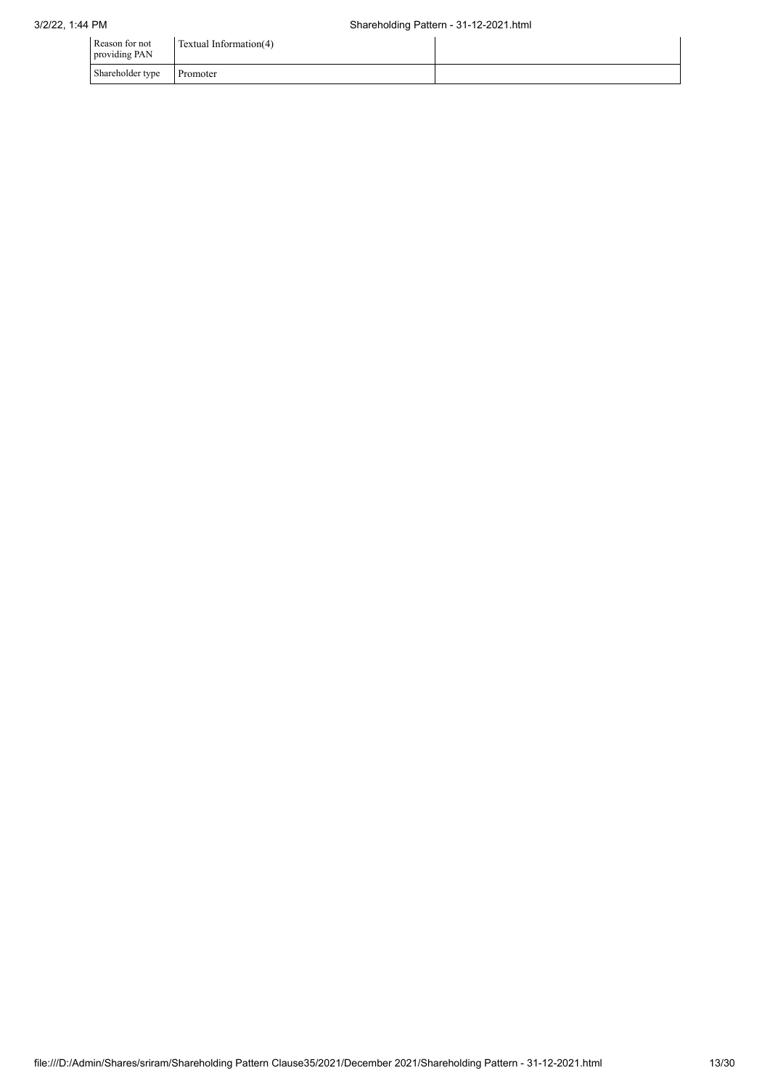| Reason for not<br>providing PAN | Textual Information(4) |  |
|---------------------------------|------------------------|--|
| Shareholder type                | Promoter               |  |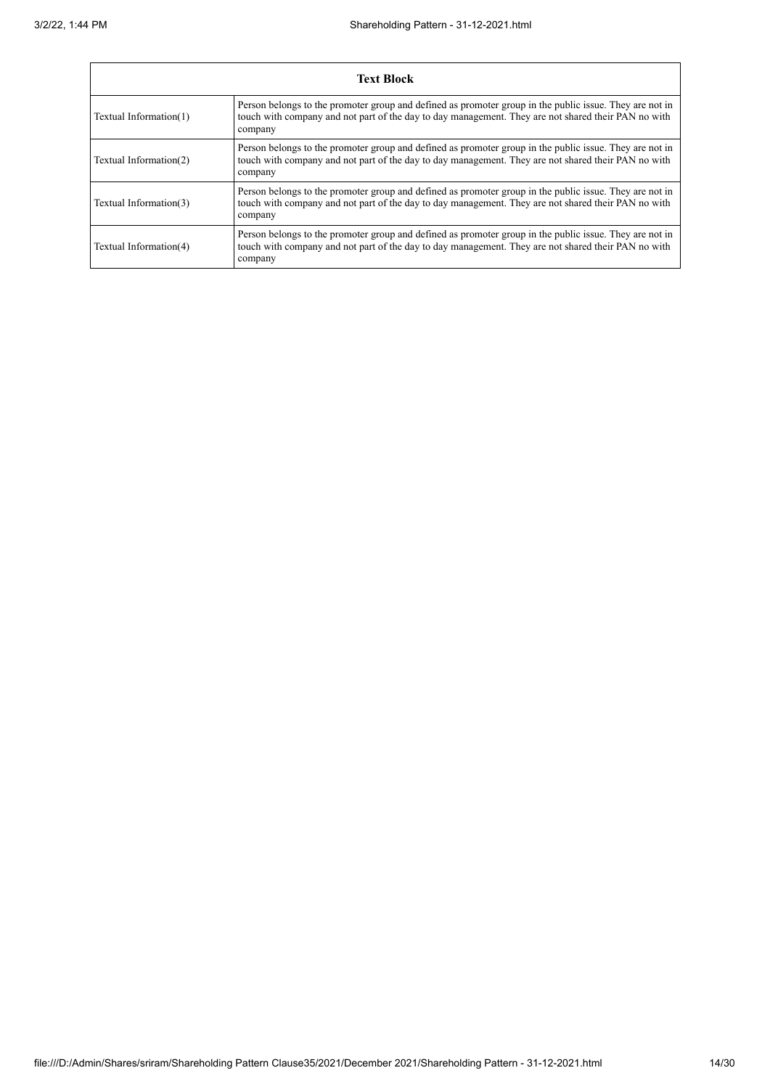| <b>Text Block</b>      |                                                                                                                                                                                                                           |  |  |
|------------------------|---------------------------------------------------------------------------------------------------------------------------------------------------------------------------------------------------------------------------|--|--|
| Textual Information(1) | Person belongs to the promoter group and defined as promoter group in the public issue. They are not in<br>touch with company and not part of the day to day management. They are not shared their PAN no with<br>company |  |  |
| Textual Information(2) | Person belongs to the promoter group and defined as promoter group in the public issue. They are not in<br>touch with company and not part of the day to day management. They are not shared their PAN no with<br>company |  |  |
| Textual Information(3) | Person belongs to the promoter group and defined as promoter group in the public issue. They are not in<br>touch with company and not part of the day to day management. They are not shared their PAN no with<br>company |  |  |
| Textual Information(4) | Person belongs to the promoter group and defined as promoter group in the public issue. They are not in<br>touch with company and not part of the day to day management. They are not shared their PAN no with<br>company |  |  |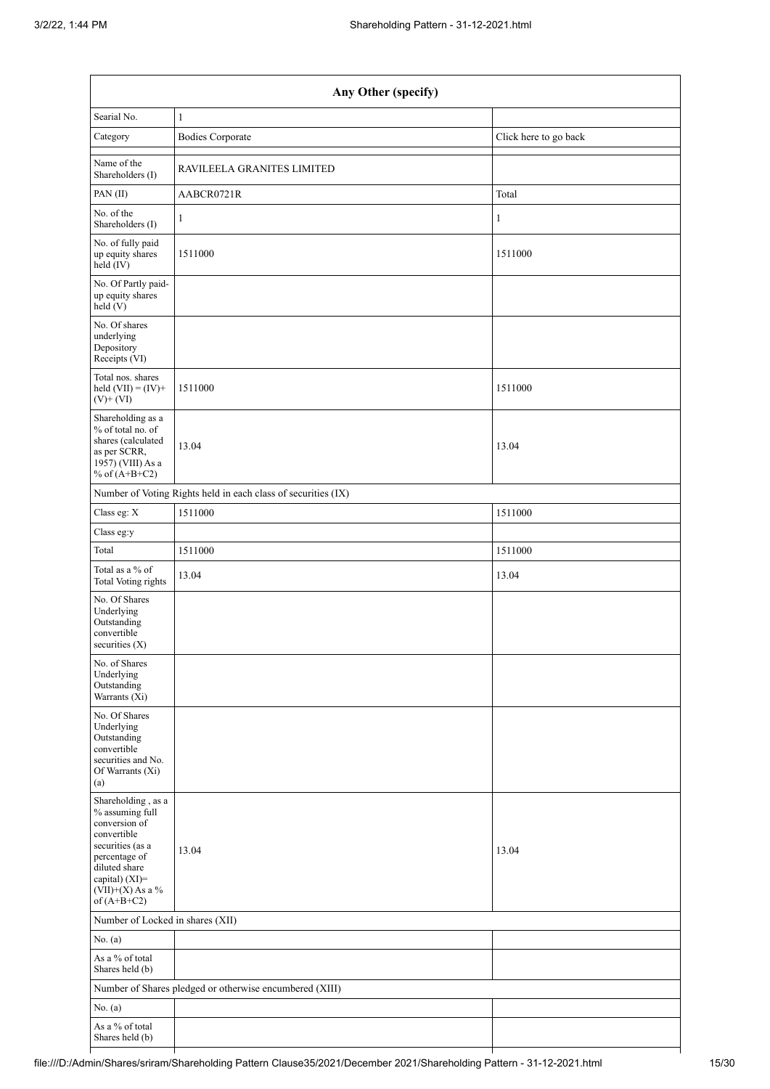| Any Other (specify)                                                                                                                                                                  |                                                               |                       |  |  |  |
|--------------------------------------------------------------------------------------------------------------------------------------------------------------------------------------|---------------------------------------------------------------|-----------------------|--|--|--|
| Searial No.                                                                                                                                                                          | 1                                                             |                       |  |  |  |
| Category                                                                                                                                                                             | <b>Bodies Corporate</b>                                       | Click here to go back |  |  |  |
| Name of the<br>Shareholders (I)                                                                                                                                                      | RAVILEELA GRANITES LIMITED                                    |                       |  |  |  |
| PAN(II)                                                                                                                                                                              | AABCR0721R                                                    | Total                 |  |  |  |
| No. of the<br>Shareholders (I)                                                                                                                                                       | 1                                                             | $\mathbf{1}$          |  |  |  |
| No. of fully paid<br>up equity shares<br>held (IV)                                                                                                                                   | 1511000                                                       | 1511000               |  |  |  |
| No. Of Partly paid-<br>up equity shares<br>held(V)                                                                                                                                   |                                                               |                       |  |  |  |
| No. Of shares<br>underlying<br>Depository<br>Receipts (VI)                                                                                                                           |                                                               |                       |  |  |  |
| Total nos. shares<br>held $(VII) = (IV) +$<br>$(V)$ + $(VI)$                                                                                                                         | 1511000                                                       | 1511000               |  |  |  |
| Shareholding as a<br>% of total no. of<br>shares (calculated<br>as per SCRR,<br>1957) (VIII) As a<br>% of $(A+B+C2)$                                                                 | 13.04                                                         | 13.04                 |  |  |  |
|                                                                                                                                                                                      | Number of Voting Rights held in each class of securities (IX) |                       |  |  |  |
| Class eg: $\mathbf X$                                                                                                                                                                | 1511000                                                       | 1511000               |  |  |  |
| Class eg:y                                                                                                                                                                           |                                                               |                       |  |  |  |
| Total                                                                                                                                                                                | 1511000                                                       | 1511000               |  |  |  |
| Total as a % of<br><b>Total Voting rights</b>                                                                                                                                        | 13.04                                                         | 13.04                 |  |  |  |
| No. Of Shares<br>Underlying<br>Outstanding<br>convertible<br>securities $(X)$                                                                                                        |                                                               |                       |  |  |  |
| No. of Shares<br>Underlying<br>Outstanding<br>Warrants (Xi)                                                                                                                          |                                                               |                       |  |  |  |
| No. Of Shares<br>Underlying<br>Outstanding<br>convertible<br>securities and No.<br>Of Warrants (Xi)<br>(a)                                                                           |                                                               |                       |  |  |  |
| Shareholding, as a<br>% assuming full<br>conversion of<br>convertible<br>securities (as a<br>percentage of<br>diluted share<br>capital) (XI)=<br>$(VII)+(X)$ As a %<br>of $(A+B+C2)$ | 13.04                                                         | 13.04                 |  |  |  |
| Number of Locked in shares (XII)                                                                                                                                                     |                                                               |                       |  |  |  |
| No. (a)                                                                                                                                                                              |                                                               |                       |  |  |  |
| As a % of total<br>Shares held (b)                                                                                                                                                   |                                                               |                       |  |  |  |
|                                                                                                                                                                                      | Number of Shares pledged or otherwise encumbered (XIII)       |                       |  |  |  |
| No. (a)                                                                                                                                                                              |                                                               |                       |  |  |  |
| As a % of total<br>Shares held (b)                                                                                                                                                   |                                                               |                       |  |  |  |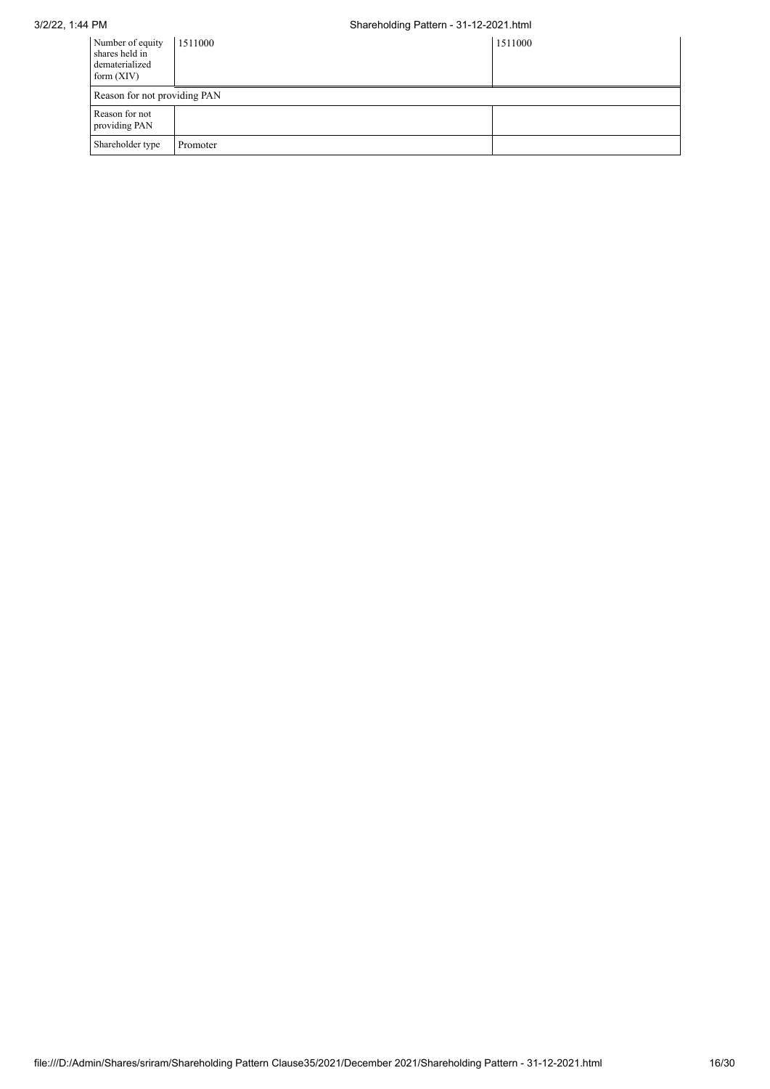| Number of equity<br>shares held in<br>dematerialized<br>form $(XIV)$ | 1511000  | 1511000 |
|----------------------------------------------------------------------|----------|---------|
| Reason for not providing PAN                                         |          |         |
| Reason for not<br>providing PAN                                      |          |         |
| Shareholder type                                                     | Promoter |         |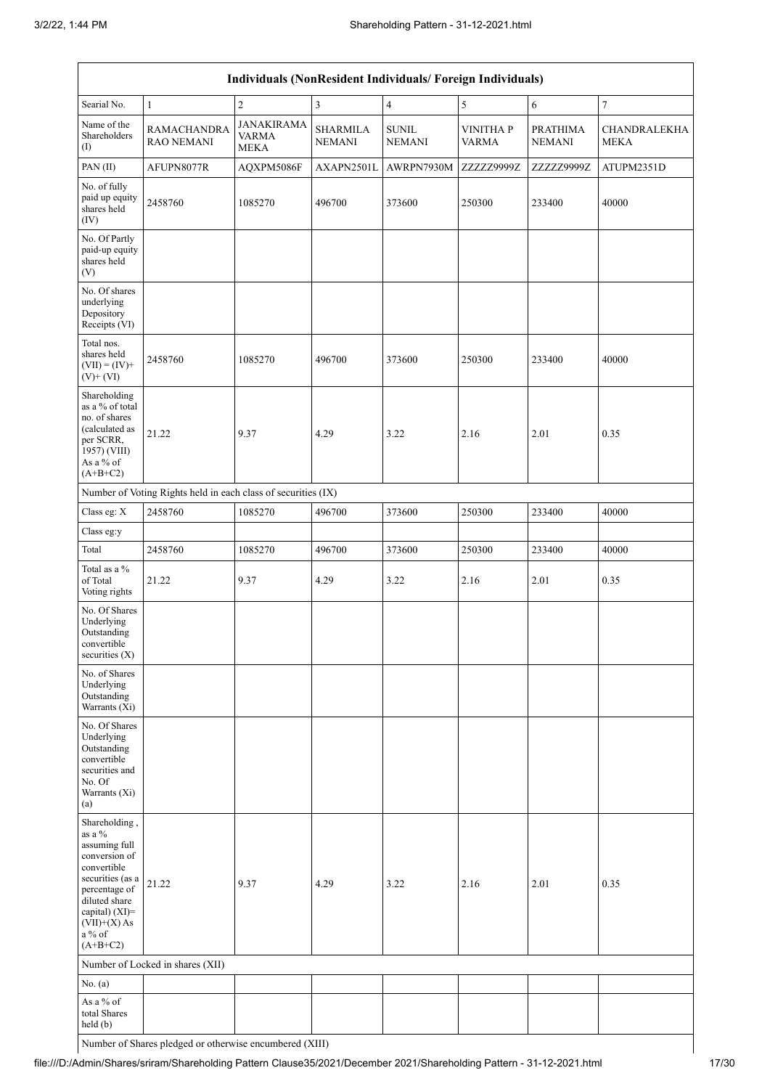| Individuals (NonResident Individuals/ Foreign Individuals)                                                                                                                                    |                                                               |                                           |                                  |                               |                                 |                           |                             |
|-----------------------------------------------------------------------------------------------------------------------------------------------------------------------------------------------|---------------------------------------------------------------|-------------------------------------------|----------------------------------|-------------------------------|---------------------------------|---------------------------|-----------------------------|
| Searial No.                                                                                                                                                                                   | $\mathbf{1}$                                                  | $\overline{2}$                            | $\mathfrak{Z}$                   | $\overline{4}$                | 5                               | 6                         | $\boldsymbol{7}$            |
| Name of the<br>Shareholders<br>$\left( \mathrm{I}\right)$                                                                                                                                     | <b>RAMACHANDRA</b><br><b>RAO NEMANI</b>                       | <b>JANAKIRAMA</b><br>VARMA<br><b>MEKA</b> | <b>SHARMILA</b><br><b>NEMANI</b> | <b>SUNIL</b><br><b>NEMANI</b> | <b>VINITHAP</b><br><b>VARMA</b> | PRATHIMA<br><b>NEMANI</b> | CHANDRALEKHA<br><b>MEKA</b> |
| PAN (II)                                                                                                                                                                                      | AFUPN8077R                                                    | AQXPM5086F                                | AXAPN2501L                       | AWRPN7930M                    | ZZZZZ9999Z                      | ZZZZZ9999Z                | ATUPM2351D                  |
| No. of fully<br>paid up equity<br>shares held<br>(IV)                                                                                                                                         | 2458760                                                       | 1085270                                   | 496700                           | 373600                        | 250300                          | 233400                    | 40000                       |
| No. Of Partly<br>paid-up equity<br>shares held<br>(V)                                                                                                                                         |                                                               |                                           |                                  |                               |                                 |                           |                             |
| No. Of shares<br>underlying<br>Depository<br>Receipts (VI)                                                                                                                                    |                                                               |                                           |                                  |                               |                                 |                           |                             |
| Total nos.<br>shares held<br>$(VII) = (IV) +$<br>$(V)$ + $(VI)$                                                                                                                               | 2458760                                                       | 1085270                                   | 496700                           | 373600                        | 250300                          | 233400                    | 40000                       |
| Shareholding<br>as a % of total<br>no. of shares<br>(calculated as<br>per SCRR,<br>1957) (VIII)<br>As a % of<br>$(A+B+C2)$                                                                    | 21.22                                                         | 9.37                                      | 4.29                             | 3.22                          | 2.16                            | 2.01                      | 0.35                        |
|                                                                                                                                                                                               | Number of Voting Rights held in each class of securities (IX) |                                           |                                  |                               |                                 |                           |                             |
| Class eg: X                                                                                                                                                                                   | 2458760                                                       | 1085270                                   | 496700                           | 373600                        | 250300                          | 233400                    | 40000                       |
| Class eg:y                                                                                                                                                                                    |                                                               |                                           |                                  |                               |                                 |                           |                             |
| Total                                                                                                                                                                                         | 2458760                                                       | 1085270                                   | 496700                           | 373600                        | 250300                          | 233400                    | 40000                       |
| Total as a %<br>of Total<br>Voting rights                                                                                                                                                     | 21.22                                                         | 9.37                                      | 4.29                             | 3.22                          | 2.16                            | 2.01                      | 0.35                        |
| No. Of Shares<br>Underlying<br>Outstanding<br>convertible<br>securities $(X)$                                                                                                                 |                                                               |                                           |                                  |                               |                                 |                           |                             |
| No. of Shares<br>Underlying<br>Outstanding<br>Warrants (Xi)                                                                                                                                   |                                                               |                                           |                                  |                               |                                 |                           |                             |
| No. Of Shares<br>Underlying<br>Outstanding<br>convertible<br>securities and<br>No. Of<br>Warrants (Xi)<br>(a)                                                                                 |                                                               |                                           |                                  |                               |                                 |                           |                             |
| Shareholding,<br>as a $\%$<br>assuming full<br>conversion of<br>convertible<br>securities (as a<br>percentage of<br>diluted share<br>capital) (XI)=<br>$(VII)+(X)$ As<br>a % of<br>$(A+B+C2)$ | 21.22                                                         | 9.37                                      | 4.29                             | 3.22                          | 2.16                            | 2.01                      | 0.35                        |
|                                                                                                                                                                                               | Number of Locked in shares (XII)                              |                                           |                                  |                               |                                 |                           |                             |
| No. (a)                                                                                                                                                                                       |                                                               |                                           |                                  |                               |                                 |                           |                             |
| As a % of<br>total Shares<br>held (b)                                                                                                                                                         |                                                               |                                           |                                  |                               |                                 |                           |                             |

Number of Shares pledged or otherwise encumbered (XIII)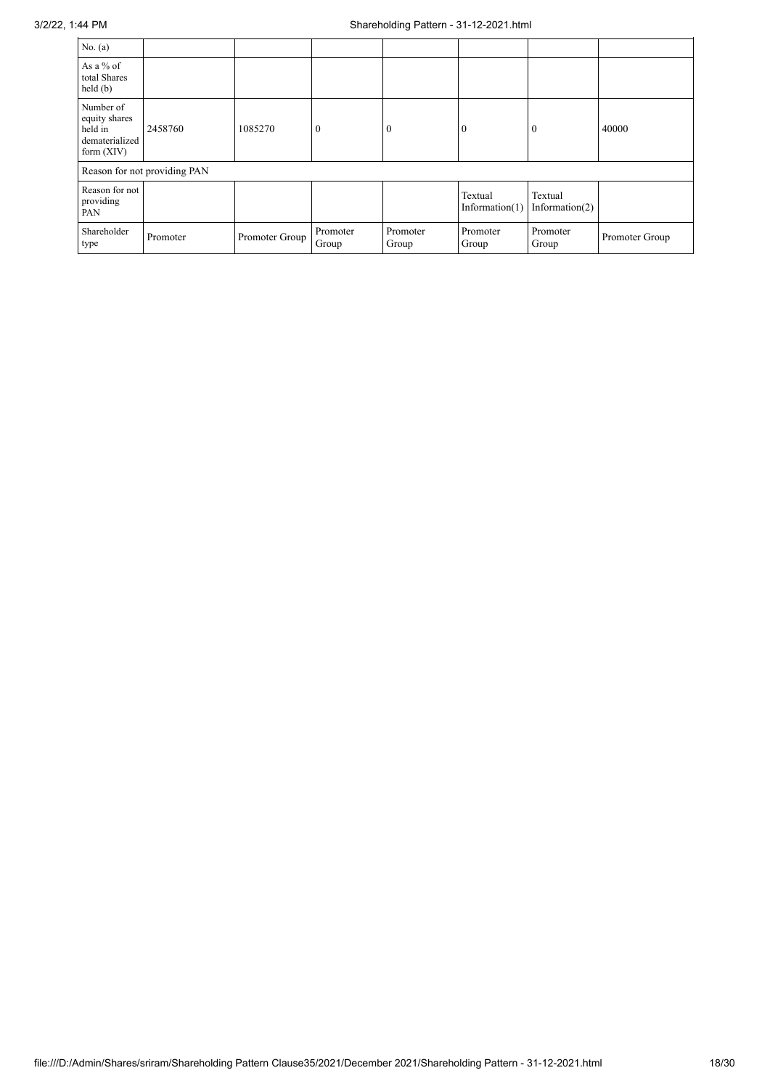| No. $(a)$                                                               |                              |                |                   |                   |                              |                              |                |
|-------------------------------------------------------------------------|------------------------------|----------------|-------------------|-------------------|------------------------------|------------------------------|----------------|
| As a $%$ of<br>total Shares<br>held(b)                                  |                              |                |                   |                   |                              |                              |                |
| Number of<br>equity shares<br>held in<br>dematerialized<br>form $(XIV)$ | 2458760                      | 1085270        | $\overline{0}$    | $\mathbf{0}$      | $\mathbf{0}$                 | $\theta$                     | 40000          |
|                                                                         | Reason for not providing PAN |                |                   |                   |                              |                              |                |
| Reason for not<br>providing<br>PAN                                      |                              |                |                   |                   | Textual<br>Information $(1)$ | Textual<br>Information $(2)$ |                |
| Shareholder<br>type                                                     | Promoter                     | Promoter Group | Promoter<br>Group | Promoter<br>Group | Promoter<br>Group            | Promoter<br>Group            | Promoter Group |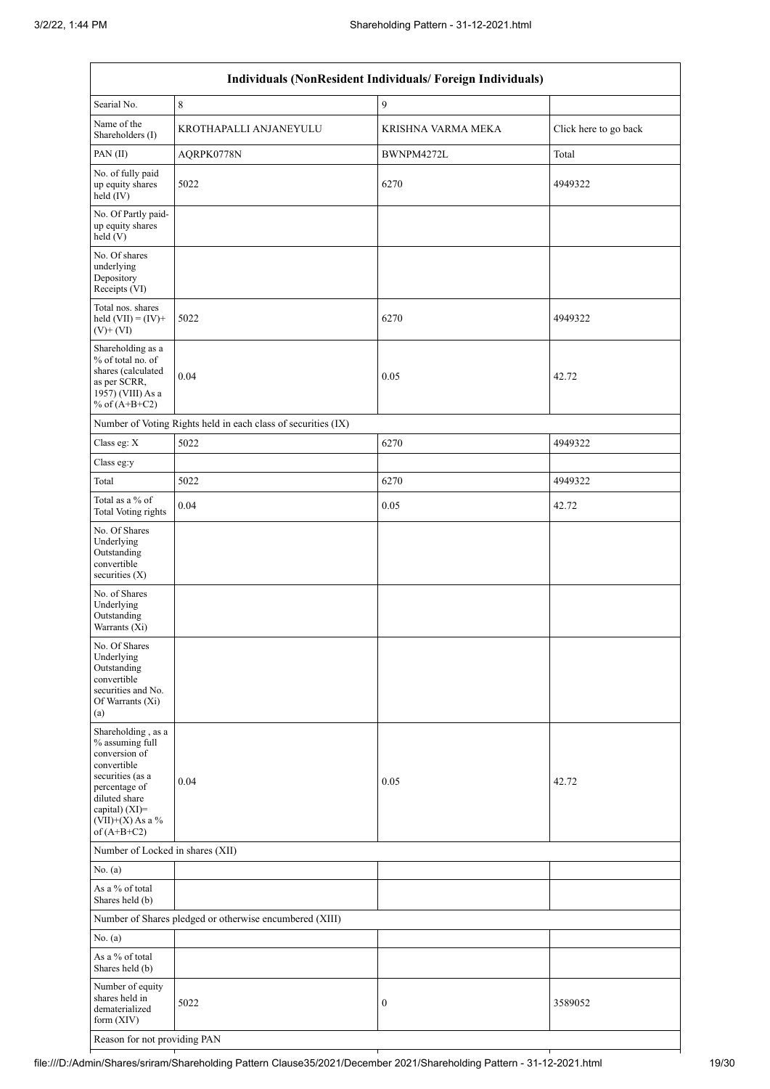| Individuals (NonResident Individuals/ Foreign Individuals)                                                                                                                           |                                                               |                    |                       |  |  |
|--------------------------------------------------------------------------------------------------------------------------------------------------------------------------------------|---------------------------------------------------------------|--------------------|-----------------------|--|--|
| Searial No.                                                                                                                                                                          | $\,8\,$                                                       | $\overline{9}$     |                       |  |  |
| Name of the<br>Shareholders (I)                                                                                                                                                      | KROTHAPALLI ANJANEYULU                                        | KRISHNA VARMA MEKA | Click here to go back |  |  |
| PAN(II)                                                                                                                                                                              | AQRPK0778N                                                    | BWNPM4272L         | Total                 |  |  |
| No. of fully paid<br>up equity shares<br>held (IV)                                                                                                                                   | 5022                                                          | 6270               | 4949322               |  |  |
| No. Of Partly paid-<br>up equity shares<br>held (V)                                                                                                                                  |                                                               |                    |                       |  |  |
| No. Of shares<br>underlying<br>Depository<br>Receipts (VI)                                                                                                                           |                                                               |                    |                       |  |  |
| Total nos. shares<br>held $(VII) = (IV) +$<br>$(V)$ + $(VI)$                                                                                                                         | 5022                                                          | 6270               | 4949322               |  |  |
| Shareholding as a<br>% of total no. of<br>shares (calculated<br>as per SCRR,<br>1957) (VIII) As a<br>% of $(A+B+C2)$                                                                 | 0.04                                                          | 0.05               | 42.72                 |  |  |
|                                                                                                                                                                                      | Number of Voting Rights held in each class of securities (IX) |                    |                       |  |  |
| Class eg: X                                                                                                                                                                          | 5022                                                          | 6270               | 4949322               |  |  |
| Class eg:y                                                                                                                                                                           |                                                               |                    |                       |  |  |
| Total                                                                                                                                                                                | 5022                                                          | 6270               | 4949322               |  |  |
| Total as a % of<br>Total Voting rights                                                                                                                                               | 0.04                                                          | 0.05               | 42.72                 |  |  |
| No. Of Shares<br>Underlying<br>Outstanding<br>convertible<br>securities (X)                                                                                                          |                                                               |                    |                       |  |  |
| No. of Shares<br>Underlying<br>Outstanding<br>Warrants (Xi)                                                                                                                          |                                                               |                    |                       |  |  |
| No. Of Shares<br>Underlying<br>Outstanding<br>convertible<br>securities and No.<br>Of Warrants (Xi)<br>(a)                                                                           |                                                               |                    |                       |  |  |
| Shareholding, as a<br>% assuming full<br>conversion of<br>convertible<br>securities (as a<br>percentage of<br>diluted share<br>capital) (XI)=<br>$(VII)+(X)$ As a %<br>of $(A+B+C2)$ | 0.04                                                          | 0.05               | 42.72                 |  |  |
| Number of Locked in shares (XII)                                                                                                                                                     |                                                               |                    |                       |  |  |
| No. (a)                                                                                                                                                                              |                                                               |                    |                       |  |  |
| As a % of total<br>Shares held (b)                                                                                                                                                   |                                                               |                    |                       |  |  |
|                                                                                                                                                                                      | Number of Shares pledged or otherwise encumbered (XIII)       |                    |                       |  |  |
| No. (a)                                                                                                                                                                              |                                                               |                    |                       |  |  |
| As a % of total<br>Shares held (b)                                                                                                                                                   |                                                               |                    |                       |  |  |
| Number of equity<br>shares held in<br>dematerialized<br>form $(XIV)$                                                                                                                 | 5022                                                          | $\boldsymbol{0}$   | 3589052               |  |  |
| Reason for not providing PAN                                                                                                                                                         |                                                               |                    |                       |  |  |

file:///D:/Admin/Shares/sriram/Shareholding Pattern Clause35/2021/December 2021/Shareholding Pattern - 31-12-2021.html 19/30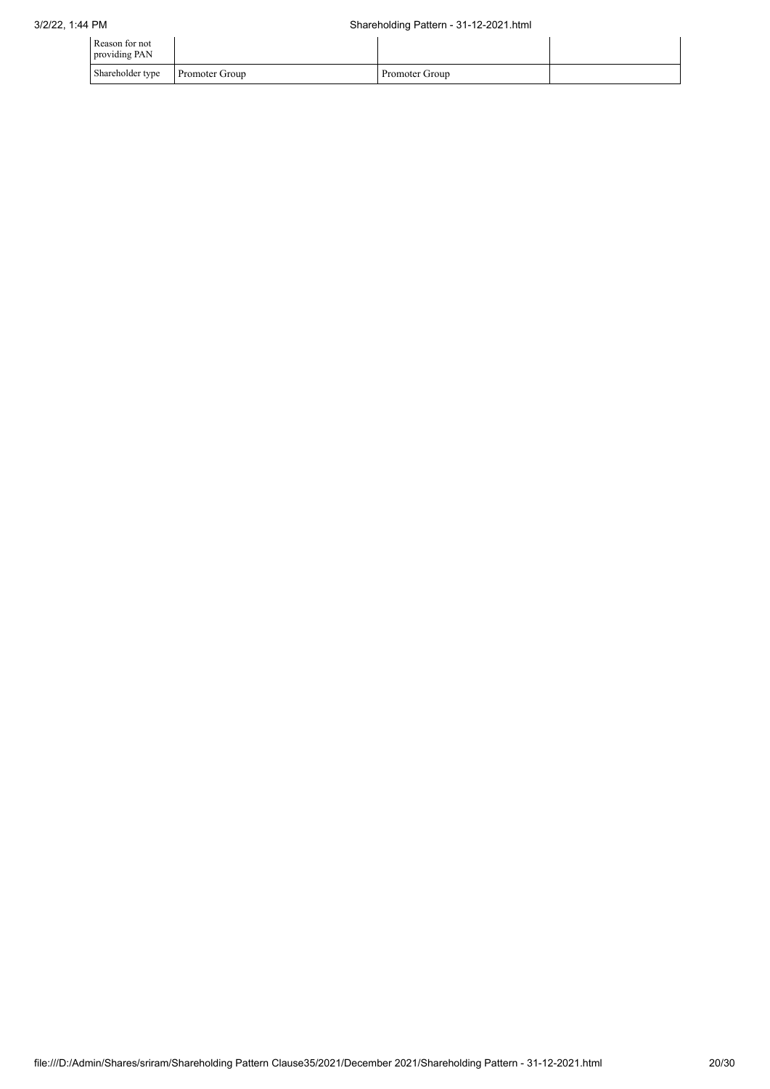| Reason for not<br>providing PAN |                       |                |  |
|---------------------------------|-----------------------|----------------|--|
| Shareholder type                | <b>Promoter Group</b> | Promoter Group |  |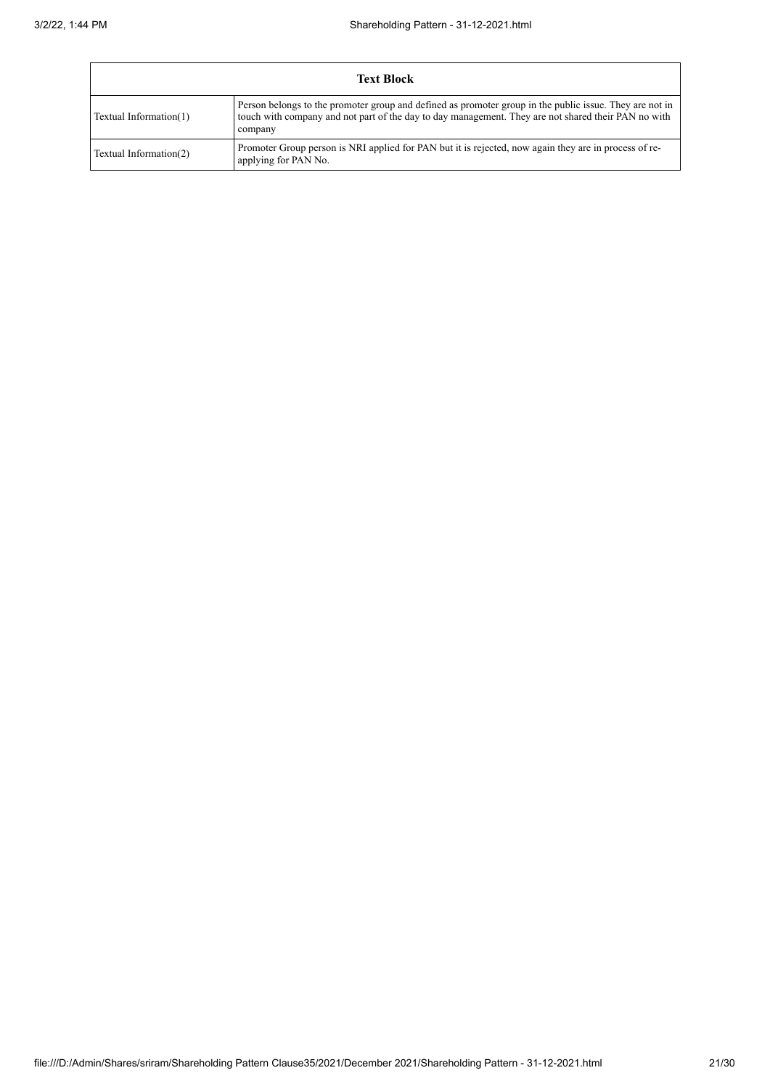|                        | <b>Text Block</b>                                                                                                                                                                                                         |  |  |
|------------------------|---------------------------------------------------------------------------------------------------------------------------------------------------------------------------------------------------------------------------|--|--|
| Textual Information(1) | Person belongs to the promoter group and defined as promoter group in the public issue. They are not in<br>touch with company and not part of the day to day management. They are not shared their PAN no with<br>company |  |  |
| Textual Information(2) | Promoter Group person is NRI applied for PAN but it is rejected, now again they are in process of re-<br>applying for PAN No.                                                                                             |  |  |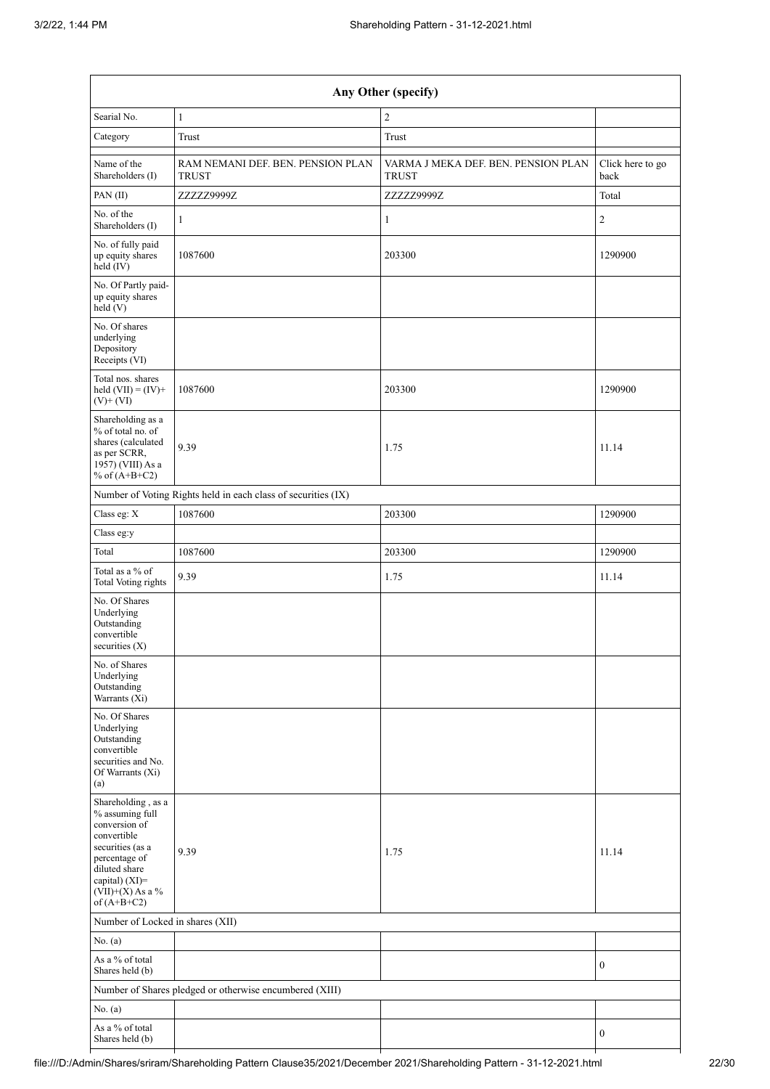| Any Other (specify)                                                                                                                                                                  |                                                               |                                                     |                          |  |
|--------------------------------------------------------------------------------------------------------------------------------------------------------------------------------------|---------------------------------------------------------------|-----------------------------------------------------|--------------------------|--|
| Searial No.                                                                                                                                                                          | $\mathbf{1}$                                                  | $\sqrt{2}$                                          |                          |  |
| Category                                                                                                                                                                             | $\operatorname{Trust}$                                        | Trust                                               |                          |  |
| Name of the<br>Shareholders (I)                                                                                                                                                      | RAM NEMANI DEF. BEN. PENSION PLAN<br><b>TRUST</b>             | VARMA J MEKA DEF. BEN. PENSION PLAN<br><b>TRUST</b> | Click here to go<br>back |  |
| PAN(II)                                                                                                                                                                              | ZZZZZ9999Z                                                    | ZZZZZ9999Z                                          | Total                    |  |
| No. of the<br>Shareholders (I)                                                                                                                                                       | $\mathbf{1}$                                                  | $\mathbf{1}$                                        | $\sqrt{2}$               |  |
| No. of fully paid<br>up equity shares<br>held (IV)                                                                                                                                   | 1087600                                                       | 203300                                              | 1290900                  |  |
| No. Of Partly paid-<br>up equity shares<br>held (V)                                                                                                                                  |                                                               |                                                     |                          |  |
| No. Of shares<br>underlying<br>Depository<br>Receipts (VI)                                                                                                                           |                                                               |                                                     |                          |  |
| Total nos. shares<br>held $(VII) = (IV) +$<br>$(V)$ + $(VI)$                                                                                                                         | 1087600                                                       | 203300                                              | 1290900                  |  |
| Shareholding as a<br>% of total no. of<br>shares (calculated<br>as per SCRR,<br>1957) (VIII) As a<br>% of $(A+B+C2)$                                                                 | 9.39                                                          | 1.75                                                | 11.14                    |  |
|                                                                                                                                                                                      | Number of Voting Rights held in each class of securities (IX) |                                                     |                          |  |
| Class eg: X                                                                                                                                                                          | 1087600                                                       | 203300                                              | 1290900                  |  |
| Class eg:y                                                                                                                                                                           |                                                               |                                                     |                          |  |
| Total                                                                                                                                                                                | 1087600                                                       | 203300                                              | 1290900                  |  |
| Total as a % of<br><b>Total Voting rights</b>                                                                                                                                        | 9.39                                                          | 1.75                                                | 11.14                    |  |
| No. Of Shares<br>Underlying<br>Outstanding<br>convertible<br>securities $(X)$                                                                                                        |                                                               |                                                     |                          |  |
| No. of Shares<br>Underlying<br>Outstanding<br>Warrants $(X_i)$                                                                                                                       |                                                               |                                                     |                          |  |
| No. Of Shares<br>Underlying<br>Outstanding<br>convertible<br>securities and No.<br>Of Warrants (Xi)<br>(a)                                                                           |                                                               |                                                     |                          |  |
| Shareholding, as a<br>% assuming full<br>conversion of<br>convertible<br>securities (as a<br>percentage of<br>diluted share<br>capital) (XI)=<br>$(VII)+(X)$ As a %<br>of $(A+B+C2)$ | 9.39                                                          | 1.75                                                | 11.14                    |  |
| Number of Locked in shares (XII)                                                                                                                                                     |                                                               |                                                     |                          |  |
| No. (a)                                                                                                                                                                              |                                                               |                                                     |                          |  |
| As a % of total<br>Shares held (b)                                                                                                                                                   |                                                               |                                                     | $\boldsymbol{0}$         |  |
|                                                                                                                                                                                      | Number of Shares pledged or otherwise encumbered (XIII)       |                                                     |                          |  |
| No. $(a)$                                                                                                                                                                            |                                                               |                                                     |                          |  |
| As a % of total<br>Shares held (b)                                                                                                                                                   |                                                               |                                                     | $\boldsymbol{0}$         |  |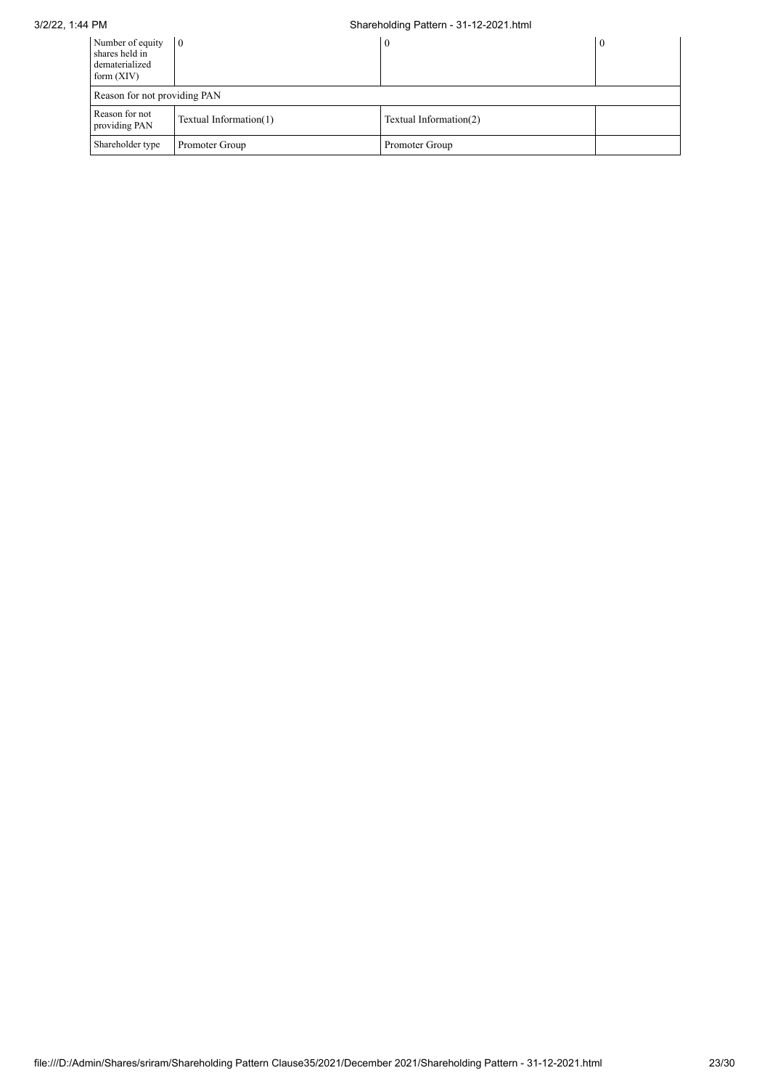## 3/2/22, 1:44 PM Shareholding Pattern - 31-12-2021.html

| Number of equity<br>shares held in<br>dematerialized<br>form $(XIV)$ | $\overline{0}$               | $\bf{0}$               |  |  |  |
|----------------------------------------------------------------------|------------------------------|------------------------|--|--|--|
|                                                                      | Reason for not providing PAN |                        |  |  |  |
| Reason for not<br>providing PAN                                      | Textual Information(1)       | Textual Information(2) |  |  |  |
| Shareholder type                                                     | Promoter Group               | Promoter Group         |  |  |  |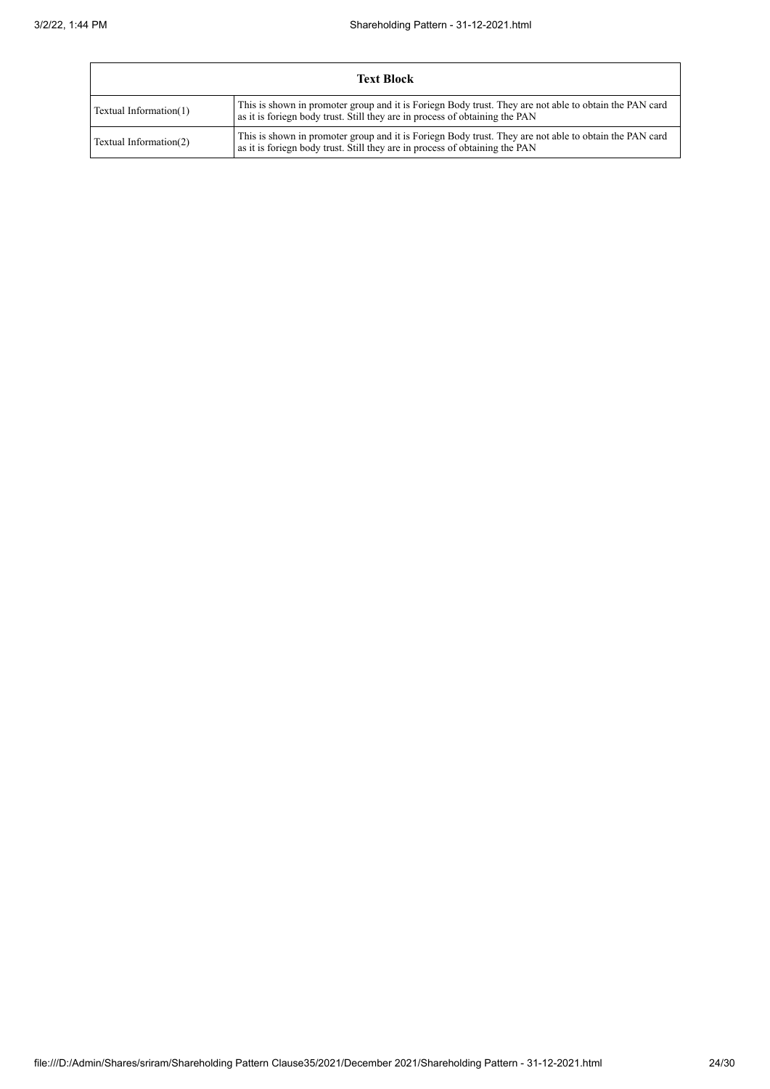| <b>Text Block</b>      |                                                                                                                                                                                       |  |
|------------------------|---------------------------------------------------------------------------------------------------------------------------------------------------------------------------------------|--|
| Textual Information(1) | This is shown in promoter group and it is Foriegn Body trust. They are not able to obtain the PAN card<br>as it is foriegn body trust. Still they are in process of obtaining the PAN |  |
| Textual Information(2) | This is shown in promoter group and it is Foriegn Body trust. They are not able to obtain the PAN card<br>as it is foriegn body trust. Still they are in process of obtaining the PAN |  |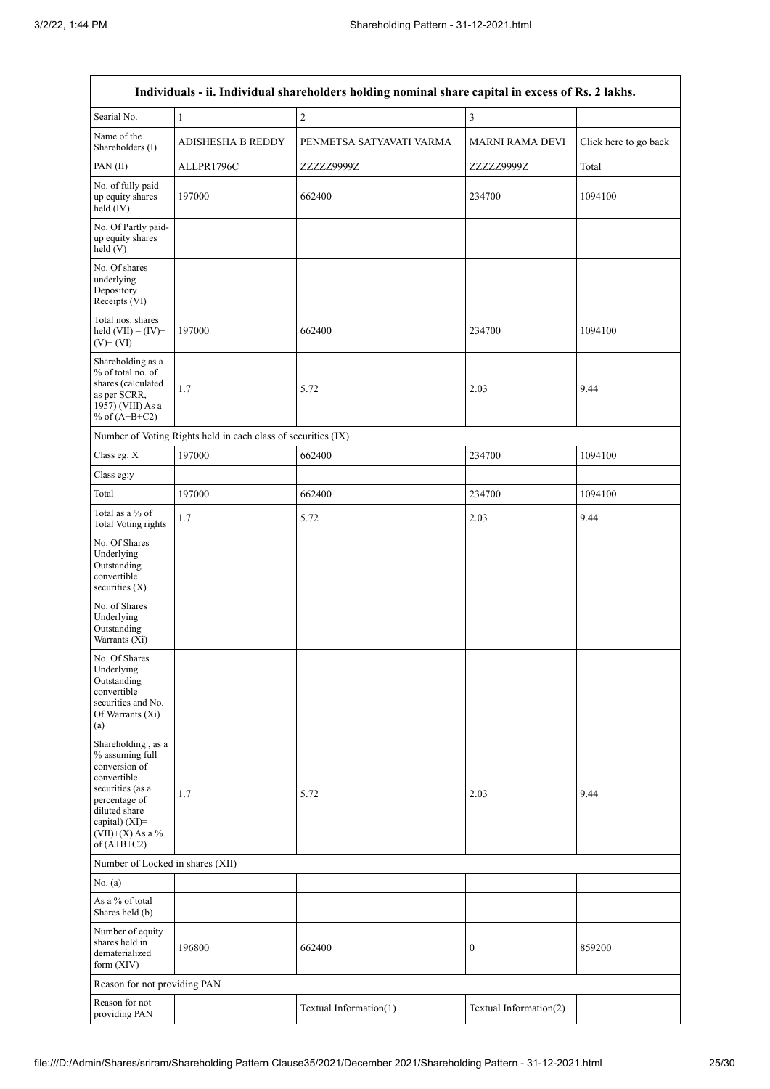| Individuals - ii. Individual shareholders holding nominal share capital in excess of Rs. 2 lakhs.                                                                                       |                                                               |                          |                        |                       |
|-----------------------------------------------------------------------------------------------------------------------------------------------------------------------------------------|---------------------------------------------------------------|--------------------------|------------------------|-----------------------|
| Searial No.                                                                                                                                                                             | $\mathbf{1}$                                                  | $\sqrt{2}$               | $\mathfrak{Z}$         |                       |
| Name of the<br>Shareholders (I)                                                                                                                                                         | <b>ADISHESHA B REDDY</b>                                      | PENMETSA SATYAVATI VARMA | <b>MARNI RAMA DEVI</b> | Click here to go back |
| PAN(II)                                                                                                                                                                                 | ALLPR1796C                                                    | ZZZZZ9999Z               | ZZZZZ9999Z             | Total                 |
| No. of fully paid<br>up equity shares<br>held (IV)                                                                                                                                      | 197000                                                        | 662400                   | 234700                 | 1094100               |
| No. Of Partly paid-<br>up equity shares<br>held (V)                                                                                                                                     |                                                               |                          |                        |                       |
| No. Of shares<br>underlying<br>Depository<br>Receipts (VI)                                                                                                                              |                                                               |                          |                        |                       |
| Total nos. shares<br>held $(VII) = (IV) +$<br>$(V)$ + $(VI)$                                                                                                                            | 197000                                                        | 662400                   | 234700                 | 1094100               |
| Shareholding as a<br>% of total no. of<br>shares (calculated<br>as per SCRR,<br>1957) (VIII) As a<br>% of $(A+B+C2)$                                                                    | 1.7                                                           | 5.72                     | 2.03                   | 9.44                  |
|                                                                                                                                                                                         | Number of Voting Rights held in each class of securities (IX) |                          |                        |                       |
| Class eg: X                                                                                                                                                                             | 197000                                                        | 662400                   | 234700                 | 1094100               |
| Class eg:y                                                                                                                                                                              |                                                               |                          |                        |                       |
| Total                                                                                                                                                                                   | 197000                                                        | 662400                   | 234700                 | 1094100               |
| Total as a % of<br><b>Total Voting rights</b>                                                                                                                                           | 1.7                                                           | 5.72                     | 2.03                   | 9.44                  |
| No. Of Shares<br>Underlying<br>Outstanding<br>convertible<br>securities (X)                                                                                                             |                                                               |                          |                        |                       |
| No. of Shares<br>Underlying<br>Outstanding<br>Warrants (Xi)                                                                                                                             |                                                               |                          |                        |                       |
| No. Of Shares<br>Underlying<br>Outstanding<br>convertible<br>securities and No.<br>Of Warrants (Xi)<br>(a)                                                                              |                                                               |                          |                        |                       |
| Shareholding, as a<br>% assuming full<br>conversion of<br>convertible<br>securities (as a<br>percentage of<br>diluted share<br>capital) $(XI)$ =<br>$(VII)+(X)$ As a %<br>of $(A+B+C2)$ | 1.7                                                           | 5.72                     | 2.03                   | 9.44                  |
| Number of Locked in shares (XII)                                                                                                                                                        |                                                               |                          |                        |                       |
| No. (a)                                                                                                                                                                                 |                                                               |                          |                        |                       |
| As a % of total<br>Shares held (b)                                                                                                                                                      |                                                               |                          |                        |                       |
| Number of equity<br>shares held in<br>dematerialized<br>form $(XIV)$                                                                                                                    | 196800                                                        | 662400                   | $\boldsymbol{0}$       | 859200                |
| Reason for not providing PAN                                                                                                                                                            |                                                               |                          |                        |                       |
| Reason for not<br>providing PAN                                                                                                                                                         |                                                               | Textual Information(1)   | Textual Information(2) |                       |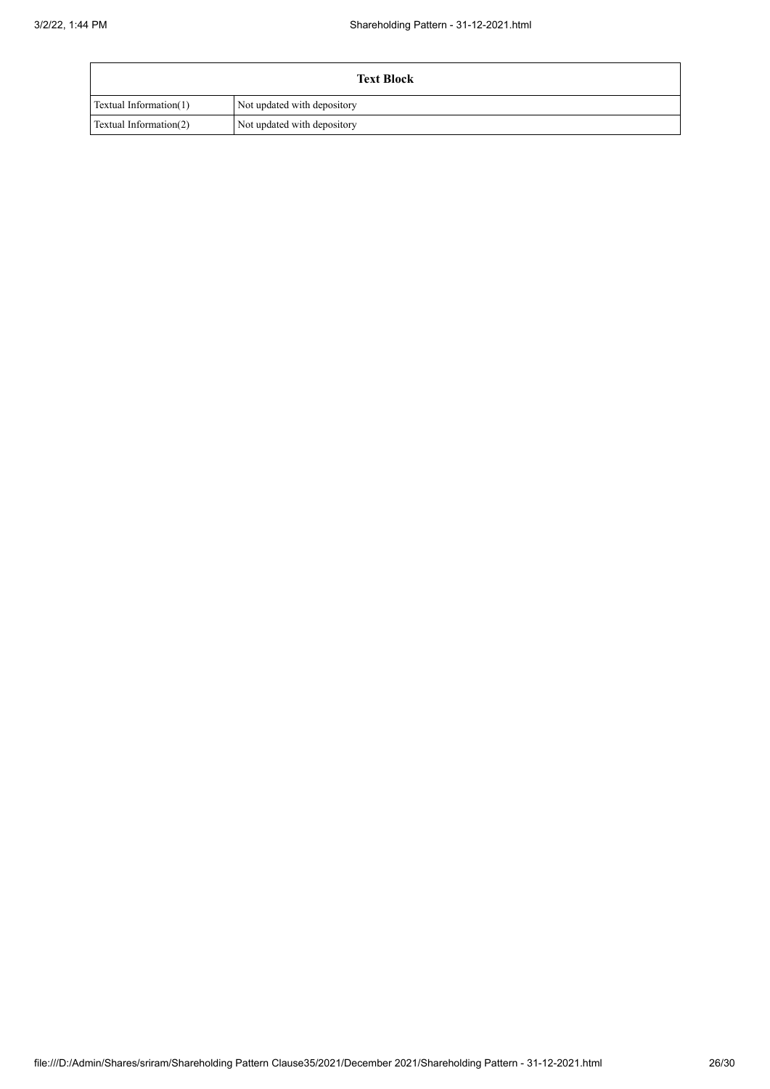| <b>Text Block</b>      |                             |  |
|------------------------|-----------------------------|--|
| Textual Information(1) | Not updated with depository |  |
| Textual Information(2) | Not updated with depository |  |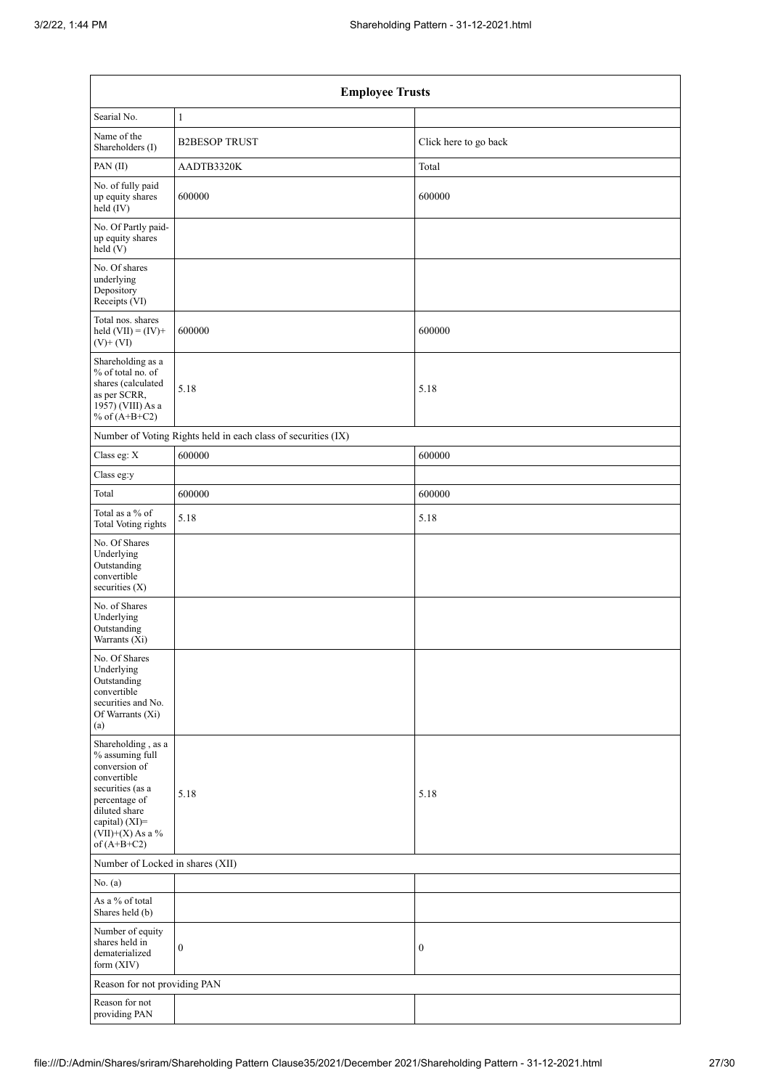| <b>Employee Trusts</b>                                                                                                                                                               |                                                               |                       |  |  |
|--------------------------------------------------------------------------------------------------------------------------------------------------------------------------------------|---------------------------------------------------------------|-----------------------|--|--|
| Searial No.                                                                                                                                                                          | $\mathbf{1}$                                                  |                       |  |  |
| Name of the<br>Shareholders (I)                                                                                                                                                      | <b>B2BESOP TRUST</b>                                          | Click here to go back |  |  |
| PAN(II)                                                                                                                                                                              | AADTB3320K                                                    | Total                 |  |  |
| No. of fully paid<br>up equity shares<br>held (IV)                                                                                                                                   | 600000                                                        | 600000                |  |  |
| No. Of Partly paid-<br>up equity shares<br>held (V)                                                                                                                                  |                                                               |                       |  |  |
| No. Of shares<br>underlying<br>Depository<br>Receipts (VI)                                                                                                                           |                                                               |                       |  |  |
| Total nos. shares<br>held $(VII) = (IV) +$<br>$(V)$ + $(VI)$                                                                                                                         | 600000                                                        | 600000                |  |  |
| Shareholding as a<br>% of total no. of<br>shares (calculated<br>as per SCRR,<br>1957) (VIII) As a<br>% of $(A+B+C2)$                                                                 | 5.18                                                          | 5.18                  |  |  |
|                                                                                                                                                                                      | Number of Voting Rights held in each class of securities (IX) |                       |  |  |
| Class eg: X                                                                                                                                                                          | 600000                                                        | 600000                |  |  |
| Class eg:y                                                                                                                                                                           |                                                               |                       |  |  |
| Total                                                                                                                                                                                | 600000                                                        | 600000                |  |  |
| Total as a % of<br><b>Total Voting rights</b>                                                                                                                                        | 5.18                                                          | 5.18                  |  |  |
| No. Of Shares<br>Underlying<br>Outstanding<br>convertible<br>securities (X)                                                                                                          |                                                               |                       |  |  |
| No. of Shares<br>Underlying<br>Outstanding<br>Warrants (Xi)                                                                                                                          |                                                               |                       |  |  |
| No. Of Shares<br>Underlying<br>Outstanding<br>convertible<br>securities and No.<br>Of Warrants (Xi)<br>(a)                                                                           |                                                               |                       |  |  |
| Shareholding, as a<br>% assuming full<br>conversion of<br>convertible<br>securities (as a<br>percentage of<br>diluted share<br>capital) (XI)=<br>$(VII)+(X)$ As a %<br>of $(A+B+C2)$ | 5.18                                                          | 5.18                  |  |  |
| Number of Locked in shares (XII)                                                                                                                                                     |                                                               |                       |  |  |
| No. (a)                                                                                                                                                                              |                                                               |                       |  |  |
| As a % of total<br>Shares held (b)                                                                                                                                                   |                                                               |                       |  |  |
| Number of equity<br>shares held in<br>dematerialized<br>form (XIV)                                                                                                                   | $\boldsymbol{0}$                                              | $\boldsymbol{0}$      |  |  |
| Reason for not providing PAN                                                                                                                                                         |                                                               |                       |  |  |
| Reason for not<br>providing PAN                                                                                                                                                      |                                                               |                       |  |  |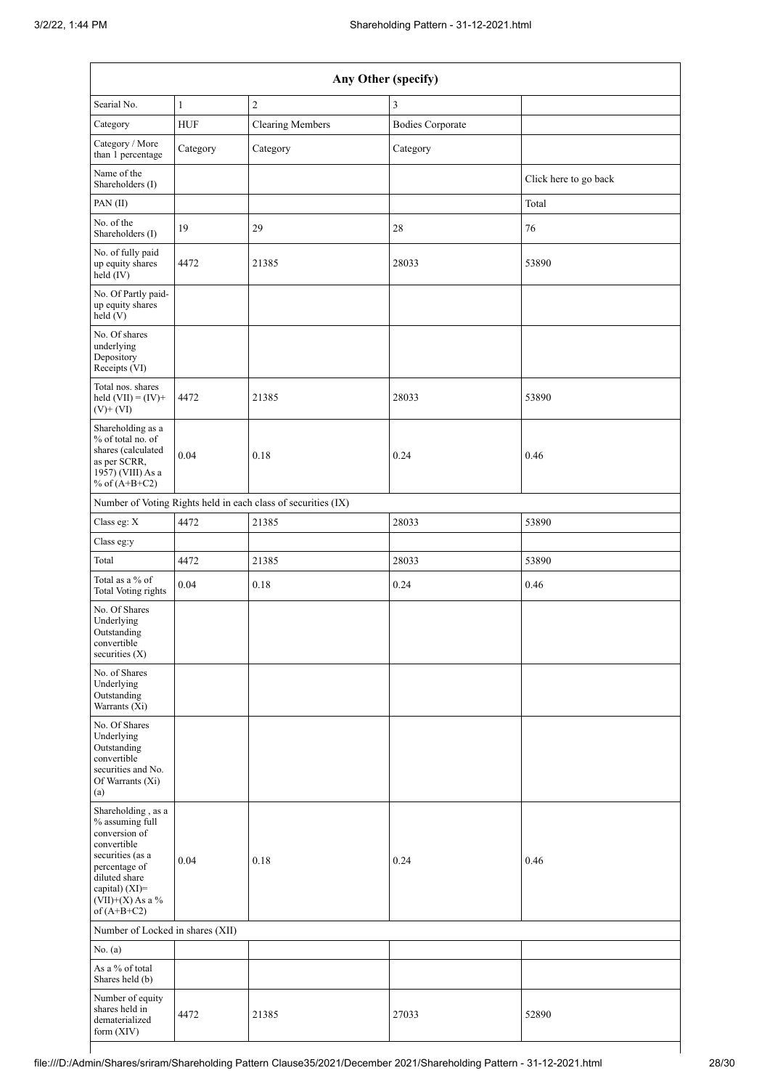| Any Other (specify)                                                                                                                                                                  |              |                                                               |                         |                       |
|--------------------------------------------------------------------------------------------------------------------------------------------------------------------------------------|--------------|---------------------------------------------------------------|-------------------------|-----------------------|
| Searial No.                                                                                                                                                                          | $\mathbf{1}$ | $\overline{2}$                                                | 3                       |                       |
| Category                                                                                                                                                                             | <b>HUF</b>   | <b>Clearing Members</b>                                       | <b>Bodies Corporate</b> |                       |
| Category / More<br>than 1 percentage                                                                                                                                                 | Category     | Category                                                      | Category                |                       |
| Name of the<br>Shareholders (I)                                                                                                                                                      |              |                                                               |                         | Click here to go back |
| PAN(II)                                                                                                                                                                              |              |                                                               |                         | Total                 |
| No. of the<br>Shareholders (I)                                                                                                                                                       | 19           | 29                                                            | $28\,$                  | 76                    |
| No. of fully paid<br>up equity shares<br>$\text{held} (IV)$                                                                                                                          | 4472         | 21385                                                         | 28033                   | 53890                 |
| No. Of Partly paid-<br>up equity shares<br>held(V)                                                                                                                                   |              |                                                               |                         |                       |
| No. Of shares<br>underlying<br>Depository<br>Receipts (VI)                                                                                                                           |              |                                                               |                         |                       |
| Total nos. shares<br>held $(VII) = (IV) +$<br>$(V)$ + $(VI)$                                                                                                                         | 4472         | 21385                                                         | 28033                   | 53890                 |
| Shareholding as a<br>% of total no. of<br>shares (calculated<br>as per SCRR,<br>1957) (VIII) As a<br>% of $(A+B+C2)$                                                                 | 0.04         | 0.18                                                          | 0.24                    | 0.46                  |
|                                                                                                                                                                                      |              | Number of Voting Rights held in each class of securities (IX) |                         |                       |
| Class eg: X                                                                                                                                                                          | 4472         | 21385                                                         | 28033                   | 53890                 |
| Class eg:y                                                                                                                                                                           |              |                                                               |                         |                       |
| Total                                                                                                                                                                                | 4472         | 21385                                                         | 28033                   | 53890                 |
| Total as a % of<br><b>Total Voting rights</b>                                                                                                                                        | 0.04         | 0.18                                                          | 0.24                    | 0.46                  |
| No. Of Shares<br>Underlying<br>Outstanding<br>convertible<br>securities $(X)$                                                                                                        |              |                                                               |                         |                       |
| No. of Shares<br>Underlying<br>Outstanding<br>Warrants (Xi)                                                                                                                          |              |                                                               |                         |                       |
| No. Of Shares<br>Underlying<br>Outstanding<br>convertible<br>securities and No.<br>Of Warrants (Xi)<br>(a)                                                                           |              |                                                               |                         |                       |
| Shareholding, as a<br>% assuming full<br>conversion of<br>convertible<br>securities (as a<br>percentage of<br>diluted share<br>capital) (XI)=<br>$(VII)+(X)$ As a %<br>of $(A+B+C2)$ | 0.04         | 0.18                                                          | 0.24                    | 0.46                  |
| Number of Locked in shares (XII)                                                                                                                                                     |              |                                                               |                         |                       |
| No. (a)                                                                                                                                                                              |              |                                                               |                         |                       |
| As a % of total<br>Shares held (b)                                                                                                                                                   |              |                                                               |                         |                       |
| Number of equity<br>shares held in<br>dematerialized<br>form (XIV)                                                                                                                   | 4472         | 21385                                                         | 27033                   | 52890                 |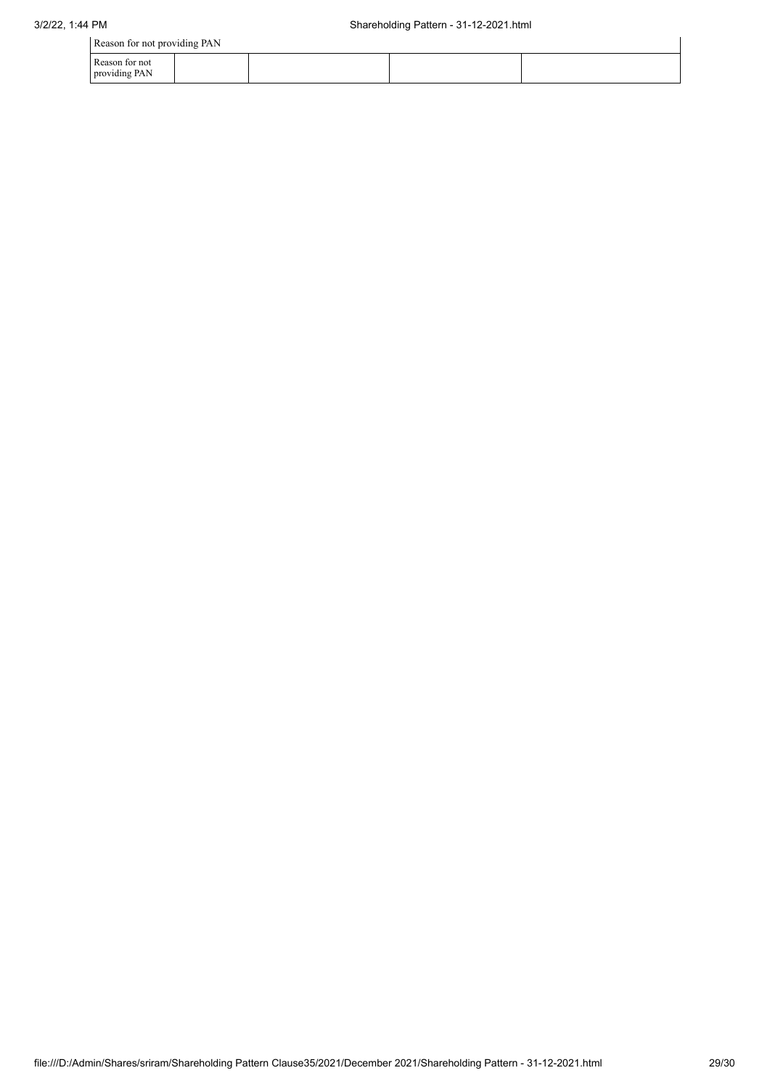| Reason for not providing PAN    |  |  |  |  |
|---------------------------------|--|--|--|--|
| Reason for not<br>providing PAN |  |  |  |  |